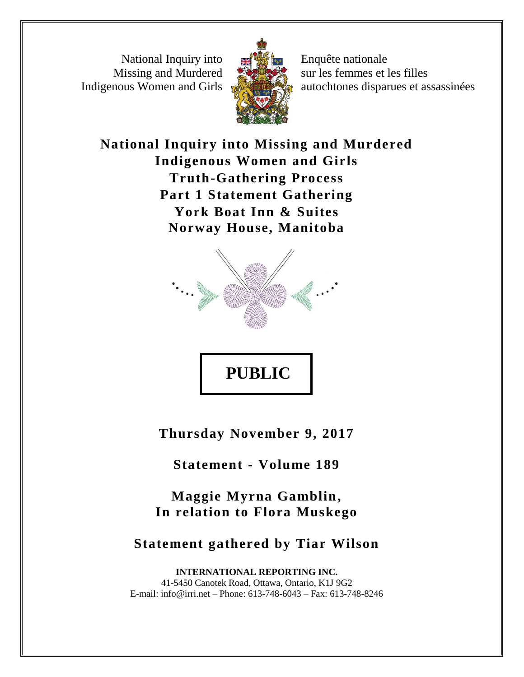National Inquiry into Missing and Murdered Indigenous Women and Girls



Enquête nationale sur les femmes et les filles autochtones disparues et assassinées

**National Inquiry into Missing and Murdered Indigenous Women and Girls Truth-Gathering Process Part 1 Statement Gathering York Boat Inn & Suites Norway House, Manitoba**



**Thursday November 9, 2017**

**Statement - Volume 189**

**Maggie Myrna Gamblin, In relation to Flora Muskego**

**Statement gathered by Tiar Wilson**

**INTERNATIONAL REPORTING INC.** 41-5450 Canotek Road, Ottawa, Ontario, K1J 9G2 E-mail: info@irri.net – Phone: 613-748-6043 – Fax: 613-748-8246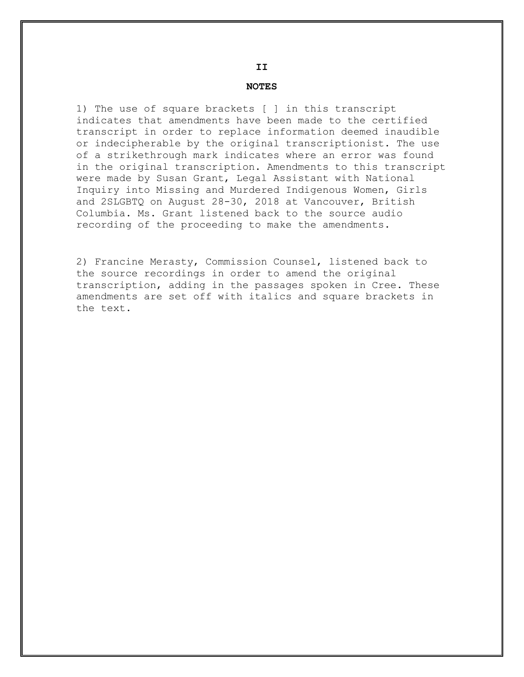#### **NOTES**

1) The use of square brackets [ ] in this transcript indicates that amendments have been made to the certified transcript in order to replace information deemed inaudible or indecipherable by the original transcriptionist. The use of a strikethrough mark indicates where an error was found in the original transcription. Amendments to this transcript were made by Susan Grant, Legal Assistant with National Inquiry into Missing and Murdered Indigenous Women, Girls and 2SLGBTQ on August 28-30, 2018 at Vancouver, British Columbia. Ms. Grant listened back to the source audio recording of the proceeding to make the amendments.

2) Francine Merasty, Commission Counsel, listened back to the source recordings in order to amend the original transcription, adding in the passages spoken in Cree. These amendments are set off with italics and square brackets in the text.

#### **II**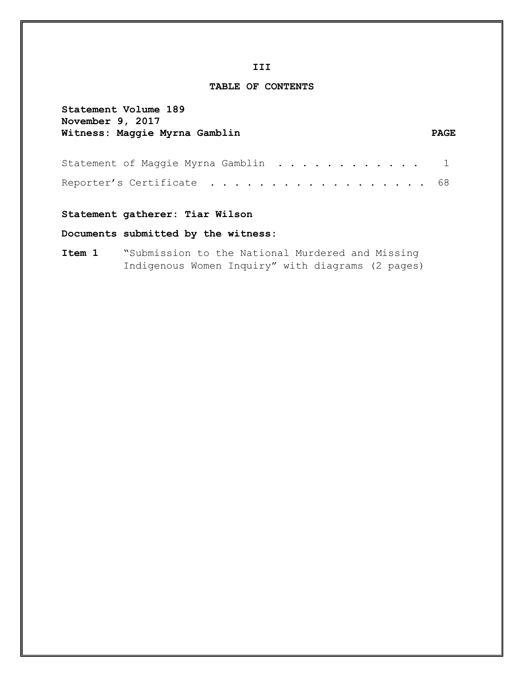**TABLE OF CONTENTS**

# **Statement Volume 189**

# **November 9, 2017 Witness: Maggie Myrna Gamblin PAGE**

| Statement of Maggie Myrna Gamblin 1 |  |  |  |  |  |  |  |  |  |  |  |
|-------------------------------------|--|--|--|--|--|--|--|--|--|--|--|
| Reporter's Certificate 68           |  |  |  |  |  |  |  |  |  |  |  |

# **Statement gatherer: Tiar Wilson**

# **Documents submitted by the witness:**

**Item 1** "Submission to the National Murdered and Missing Indigenous Women Inquiry" with diagrams (2 pages)

#### **III**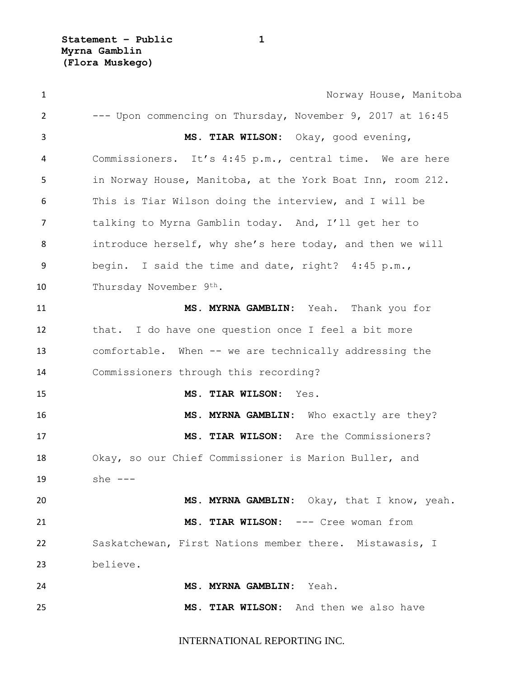| $\mathbf{1}$   | Norway House, Manitoba                                     |
|----------------|------------------------------------------------------------|
| $\overline{2}$ | --- Upon commencing on Thursday, November 9, 2017 at 16:45 |
| 3              | MS. TIAR WILSON: Okay, good evening,                       |
| 4              | Commissioners. It's 4:45 p.m., central time. We are here   |
| 5              | in Norway House, Manitoba, at the York Boat Inn, room 212. |
| 6              | This is Tiar Wilson doing the interview, and I will be     |
| $\overline{7}$ | talking to Myrna Gamblin today. And, I'll get her to       |
| 8              | introduce herself, why she's here today, and then we will  |
| 9              | begin. I said the time and date, right? 4:45 p.m.,         |
| 10             | Thursday November 9th.                                     |
| 11             | MS. MYRNA GAMBLIN: Yeah. Thank you for                     |
| 12             | that. I do have one question once I feel a bit more        |
| 13             | comfortable. When -- we are technically addressing the     |
| 14             | Commissioners through this recording?                      |
| 15             | MS. TIAR WILSON: Yes.                                      |
| 16             | MS. MYRNA GAMBLIN: Who exactly are they?                   |
| 17             | MS. TIAR WILSON: Are the Commissioners?                    |
| 18             | Okay, so our Chief Commissioner is Marion Buller, and      |
| 19             | she $---$                                                  |
| 20             | MS. MYRNA GAMBLIN: Okay, that I know, yeah.                |
| 21             | MS. TIAR WILSON: --- Cree woman from                       |
| 22             | Saskatchewan, First Nations member there. Mistawasis, I    |
| 23             | believe.                                                   |
| 24             | MS. MYRNA GAMBLIN: Yeah.                                   |
| 25             | MS. TIAR WILSON: And then we also have                     |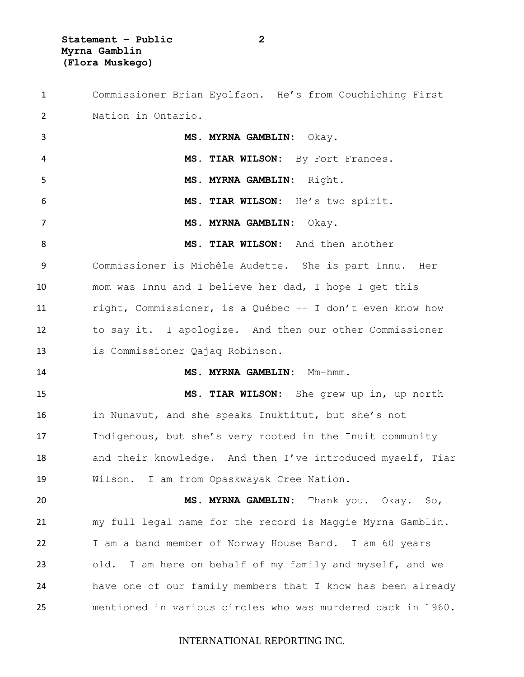Commissioner Brian Eyolfson. He's from Couchiching First Nation in Ontario. **MS. MYRNA GAMBLIN:** Okay. **MS. TIAR WILSON:** By Fort Frances. **MS. MYRNA GAMBLIN:** Right. **MS. TIAR WILSON:** He's two spirit. **MS. MYRNA GAMBLIN:** Okay. **MS. TIAR WILSON:** And then another Commissioner is Michèle Audette. She is part Innu. Her mom was Innu and I believe her dad, I hope I get this right, Commissioner, is a Québec -- I don't even know how to say it. I apologize. And then our other Commissioner is Commissioner Qajaq Robinson. **MS. MYRNA GAMBLIN:** Mm-hmm. **MS. TIAR WILSON:** She grew up in, up north in Nunavut, and she speaks Inuktitut, but she's not Indigenous, but she's very rooted in the Inuit community and their knowledge. And then I've introduced myself, Tiar Wilson. I am from Opaskwayak Cree Nation. **MS. MYRNA GAMBLIN:** Thank you. Okay. So, my full legal name for the record is Maggie Myrna Gamblin. I am a band member of Norway House Band. I am 60 years old. I am here on behalf of my family and myself, and we have one of our family members that I know has been already mentioned in various circles who was murdered back in 1960.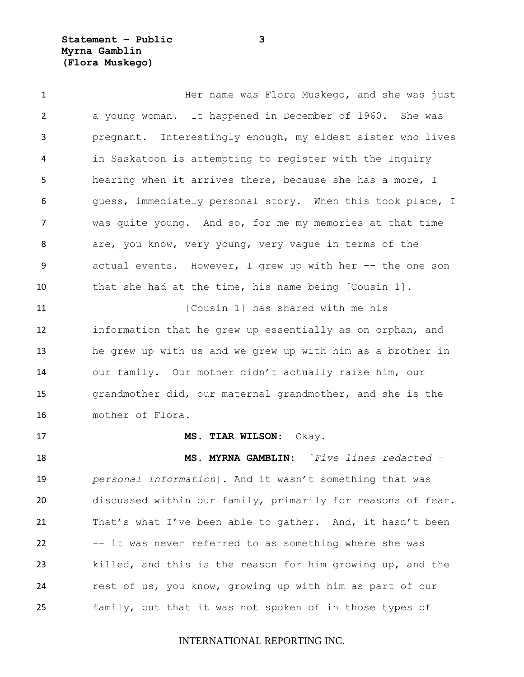**Statement – Public 3 Myrna Gamblin (Flora Muskego)**

 Her name was Flora Muskego, and she was just a young woman. It happened in December of 1960. She was pregnant. Interestingly enough, my eldest sister who lives in Saskatoon is attempting to register with the Inquiry hearing when it arrives there, because she has a more, I 6 guess, immediately personal story. When this took place, I was quite young. And so, for me my memories at that time 8 are, you know, very young, very vague in terms of the actual events. However, I grew up with her -- the one son that she had at the time, his name being [Cousin 1]. **11** [Cousin 1] has shared with me his information that he grew up essentially as on orphan, and he grew up with us and we grew up with him as a brother in our family. Our mother didn't actually raise him, our grandmother did, our maternal grandmother, and she is the mother of Flora. **MS. TIAR WILSON:** Okay. **MS. MYRNA GAMBLIN:** [*Five lines redacted – personal information*]. And it wasn't something that was discussed within our family, primarily for reasons of fear. 21 That's what I've been able to gather. And, it hasn't been -- it was never referred to as something where she was killed, and this is the reason for him growing up, and the

family, but that it was not spoken of in those types of

rest of us, you know, growing up with him as part of our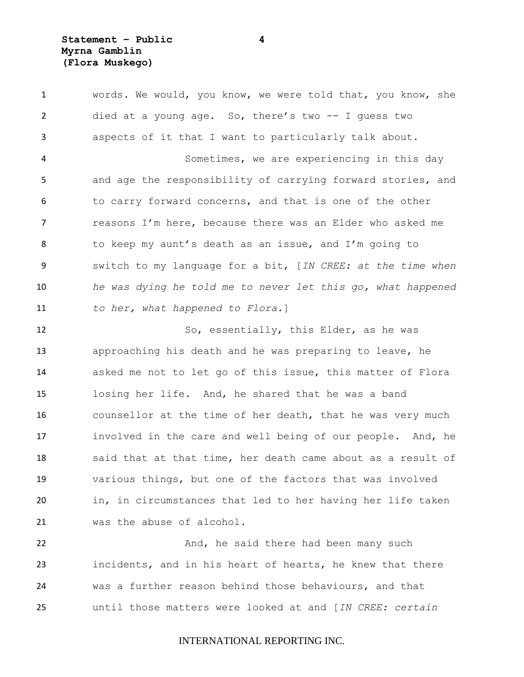| $\mathbf{1}$   | words. We would, you know, we were told that, you know, she |
|----------------|-------------------------------------------------------------|
| $\overline{2}$ | died at a young age. So, there's two $-$ I guess two        |
| 3              | aspects of it that I want to particularly talk about.       |
| 4              | Sometimes, we are experiencing in this day                  |
| 5              | and age the responsibility of carrying forward stories, and |
| 6              | to carry forward concerns, and that is one of the other     |
| $\overline{7}$ | reasons I'm here, because there was an Elder who asked me   |
| 8              | to keep my aunt's death as an issue, and I'm going to       |
| 9              | switch to my language for a bit, [IN CREE: at the time when |
| 10             | he was dying he told me to never let this go, what happened |
| 11             | to her, what happened to Flora.]                            |

 So, essentially, this Elder, as he was approaching his death and he was preparing to leave, he asked me not to let go of this issue, this matter of Flora losing her life. And, he shared that he was a band counsellor at the time of her death, that he was very much involved in the care and well being of our people. And, he said that at that time, her death came about as a result of various things, but one of the factors that was involved in, in circumstances that led to her having her life taken was the abuse of alcohol.

**And, he said there had been many such** had been many such incidents, and in his heart of hearts, he knew that there was a further reason behind those behaviours, and that until those matters were looked at and [*IN CREE: certain*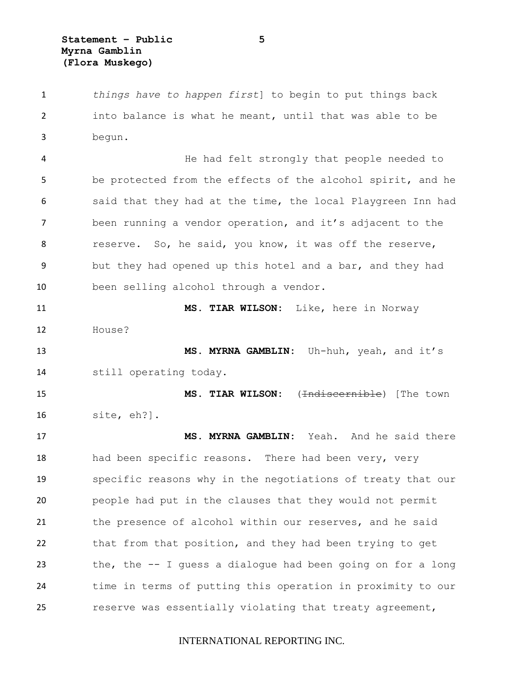*things have to happen first*] to begin to put things back into balance is what he meant, until that was able to be begun.

4 He had felt strongly that people needed to be protected from the effects of the alcohol spirit, and he 6 said that they had at the time, the local Playgreen Inn had been running a vendor operation, and it's adjacent to the 8 reserve. So, he said, you know, it was off the reserve, but they had opened up this hotel and a bar, and they had been selling alcohol through a vendor.

 **MS. TIAR WILSON:** Like, here in Norway House? **MS. MYRNA GAMBLIN:** Uh-huh, yeah, and it's

still operating today.

 **MS. TIAR WILSON:** (Indiscernible) [The town site, eh?].

 **MS. MYRNA GAMBLIN:** Yeah. And he said there 18 had been specific reasons. There had been very, very specific reasons why in the negotiations of treaty that our people had put in the clauses that they would not permit the presence of alcohol within our reserves, and he said that from that position, and they had been trying to get the, the -- I guess a dialogue had been going on for a long time in terms of putting this operation in proximity to our reserve was essentially violating that treaty agreement,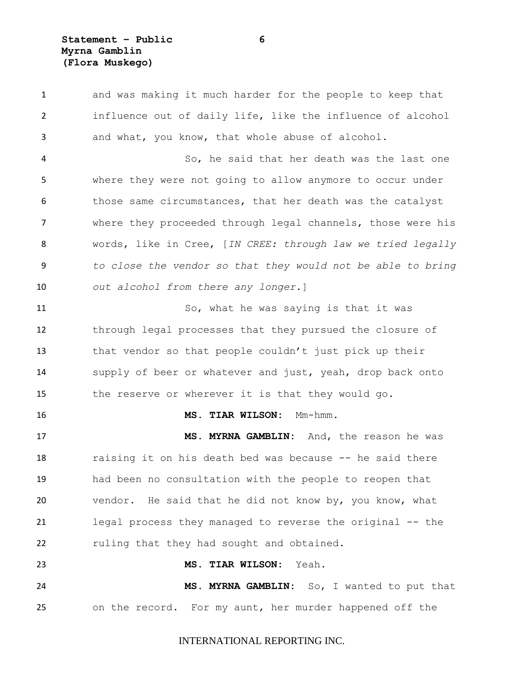**Statement – Public 6 Myrna Gamblin (Flora Muskego)**

 and was making it much harder for the people to keep that influence out of daily life, like the influence of alcohol and what, you know, that whole abuse of alcohol. So, he said that her death was the last one where they were not going to allow anymore to occur under 6 those same circumstances, that her death was the catalyst where they proceeded through legal channels, those were his words, like in Cree, [*IN CREE: through law we tried legally to close the vendor so that they would not be able to bring out alcohol from there any longer*.] So, what he was saying is that it was through legal processes that they pursued the closure of that vendor so that people couldn't just pick up their supply of beer or whatever and just, yeah, drop back onto the reserve or wherever it is that they would go. **MS. TIAR WILSON:** Mm-hmm. **MS. MYRNA GAMBLIN:** And, the reason he was raising it on his death bed was because -- he said there had been no consultation with the people to reopen that vendor. He said that he did not know by, you know, what legal process they managed to reverse the original -- the ruling that they had sought and obtained. **MS. TIAR WILSON:** Yeah. **MS. MYRNA GAMBLIN:** So, I wanted to put that on the record. For my aunt, her murder happened off the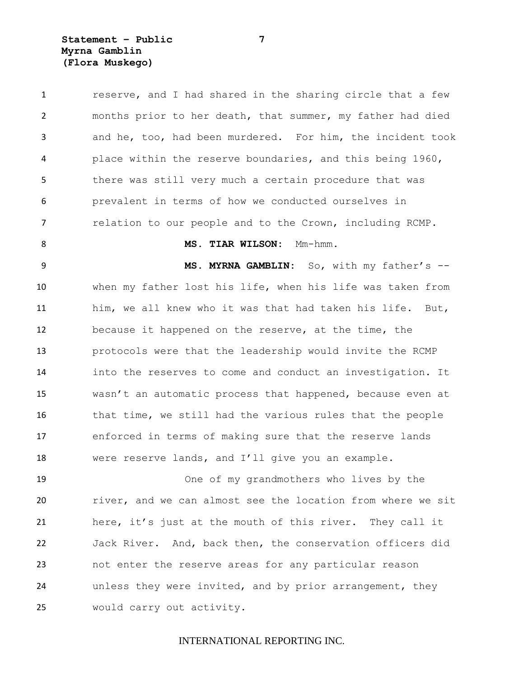**Statement – Public 7 Myrna Gamblin (Flora Muskego)**

 reserve, and I had shared in the sharing circle that a few months prior to her death, that summer, my father had died and he, too, had been murdered. For him, the incident took place within the reserve boundaries, and this being 1960, there was still very much a certain procedure that was prevalent in terms of how we conducted ourselves in relation to our people and to the Crown, including RCMP. **MS. TIAR WILSON:** Mm-hmm. **MS. MYRNA GAMBLIN:** So, with my father's -- when my father lost his life, when his life was taken from him, we all knew who it was that had taken his life. But, because it happened on the reserve, at the time, the protocols were that the leadership would invite the RCMP into the reserves to come and conduct an investigation. It wasn't an automatic process that happened, because even at that time, we still had the various rules that the people enforced in terms of making sure that the reserve lands were reserve lands, and I'll give you an example. One of my grandmothers who lives by the river, and we can almost see the location from where we sit here, it's just at the mouth of this river. They call it Jack River. And, back then, the conservation officers did not enter the reserve areas for any particular reason unless they were invited, and by prior arrangement, they would carry out activity.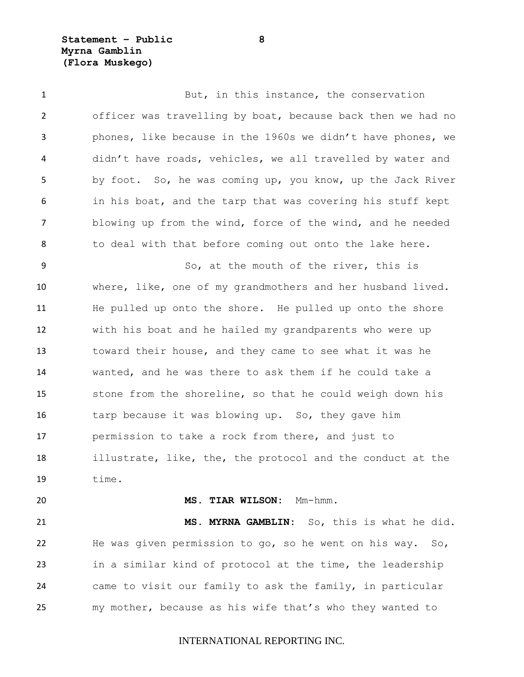**Statement – Public 8 Myrna Gamblin (Flora Muskego)**

1 But, in this instance, the conservation officer was travelling by boat, because back then we had no phones, like because in the 1960s we didn't have phones, we didn't have roads, vehicles, we all travelled by water and by foot. So, he was coming up, you know, up the Jack River in his boat, and the tarp that was covering his stuff kept blowing up from the wind, force of the wind, and he needed 8 to deal with that before coming out onto the lake here. So, at the mouth of the river, this is where, like, one of my grandmothers and her husband lived. He pulled up onto the shore. He pulled up onto the shore with his boat and he hailed my grandparents who were up toward their house, and they came to see what it was he wanted, and he was there to ask them if he could take a stone from the shoreline, so that he could weigh down his tarp because it was blowing up. So, they gave him permission to take a rock from there, and just to illustrate, like, the, the protocol and the conduct at the  $19 \qquad \qquad \text{time}$ .

**MS. TIAR WILSON:** Mm-hmm.

 **MS. MYRNA GAMBLIN:** So, this is what he did. He was given permission to go, so he went on his way. So, in a similar kind of protocol at the time, the leadership came to visit our family to ask the family, in particular my mother, because as his wife that's who they wanted to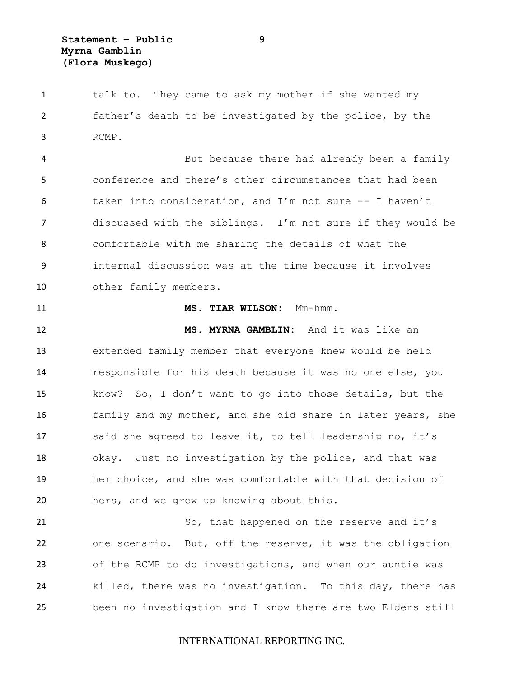1 talk to. They came to ask my mother if she wanted my father's death to be investigated by the police, by the RCMP.

 But because there had already been a family conference and there's other circumstances that had been taken into consideration, and I'm not sure -- I haven't discussed with the siblings. I'm not sure if they would be comfortable with me sharing the details of what the internal discussion was at the time because it involves other family members.

#### **MS. TIAR WILSON:** Mm-hmm.

 **MS. MYRNA GAMBLIN:** And it was like an extended family member that everyone knew would be held responsible for his death because it was no one else, you know? So, I don't want to go into those details, but the family and my mother, and she did share in later years, she said she agreed to leave it, to tell leadership no, it's okay. Just no investigation by the police, and that was her choice, and she was comfortable with that decision of hers, and we grew up knowing about this.

21 So, that happened on the reserve and it's one scenario. But, off the reserve, it was the obligation of the RCMP to do investigations, and when our auntie was killed, there was no investigation. To this day, there has been no investigation and I know there are two Elders still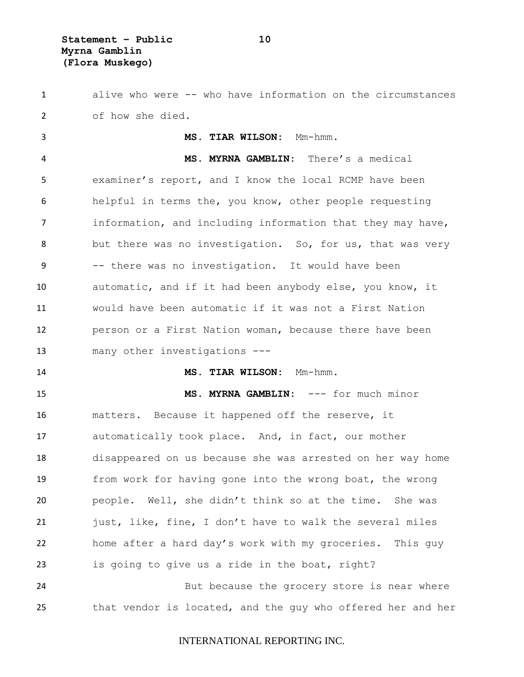alive who were -- who have information on the circumstances of how she died.

 **MS. TIAR WILSON:** Mm-hmm. **MS. MYRNA GAMBLIN:** There's a medical examiner's report, and I know the local RCMP have been helpful in terms the, you know, other people requesting 7 information, and including information that they may have, 8 but there was no investigation. So, for us, that was very -- there was no investigation. It would have been automatic, and if it had been anybody else, you know, it would have been automatic if it was not a First Nation person or a First Nation woman, because there have been many other investigations --- **MS. TIAR WILSON:** Mm-hmm. **MS. MYRNA GAMBLIN:** --- for much minor matters. Because it happened off the reserve, it automatically took place. And, in fact, our mother disappeared on us because she was arrested on her way home from work for having gone into the wrong boat, the wrong

 people. Well, she didn't think so at the time. She was just, like, fine, I don't have to walk the several miles home after a hard day's work with my groceries. This guy is going to give us a ride in the boat, right?

 But because the grocery store is near where that vendor is located, and the guy who offered her and her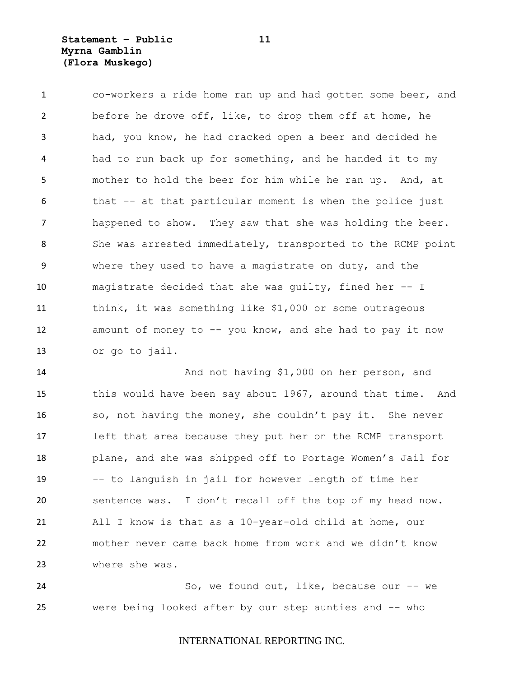**Statement – Public 11 Myrna Gamblin (Flora Muskego)**

 co-workers a ride home ran up and had gotten some beer, and before he drove off, like, to drop them off at home, he had, you know, he had cracked open a beer and decided he had to run back up for something, and he handed it to my mother to hold the beer for him while he ran up. And, at 6 that -- at that particular moment is when the police just happened to show. They saw that she was holding the beer. 8 She was arrested immediately, transported to the RCMP point where they used to have a magistrate on duty, and the magistrate decided that she was guilty, fined her -- I think, it was something like \$1,000 or some outrageous 12 amount of money to -- you know, and she had to pay it now or go to jail.

 And not having \$1,000 on her person, and this would have been say about 1967, around that time. And so, not having the money, she couldn't pay it. She never left that area because they put her on the RCMP transport plane, and she was shipped off to Portage Women's Jail for -- to languish in jail for however length of time her sentence was. I don't recall off the top of my head now. All I know is that as a 10-year-old child at home, our mother never came back home from work and we didn't know where she was.

24 So, we found out, like, because our -- we were being looked after by our step aunties and -- who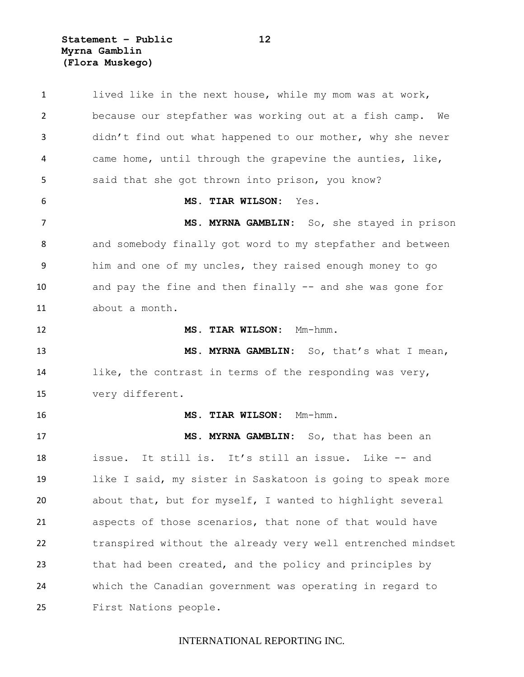**Statement – Public 12 Myrna Gamblin (Flora Muskego)**

 lived like in the next house, while my mom was at work, because our stepfather was working out at a fish camp. We didn't find out what happened to our mother, why she never came home, until through the grapevine the aunties, like, 5 said that she got thrown into prison, you know? **MS. TIAR WILSON:** Yes. **MS. MYRNA GAMBLIN:** So, she stayed in prison and somebody finally got word to my stepfather and between him and one of my uncles, they raised enough money to go and pay the fine and then finally -- and she was gone for about a month. **MS. TIAR WILSON:** Mm-hmm. **MS. MYRNA GAMBLIN:** So, that's what I mean, like, the contrast in terms of the responding was very, very different. **MS. TIAR WILSON:** Mm-hmm. **MS. MYRNA GAMBLIN:** So, that has been an issue. It still is. It's still an issue. Like -- and like I said, my sister in Saskatoon is going to speak more about that, but for myself, I wanted to highlight several aspects of those scenarios, that none of that would have transpired without the already very well entrenched mindset that had been created, and the policy and principles by which the Canadian government was operating in regard to First Nations people.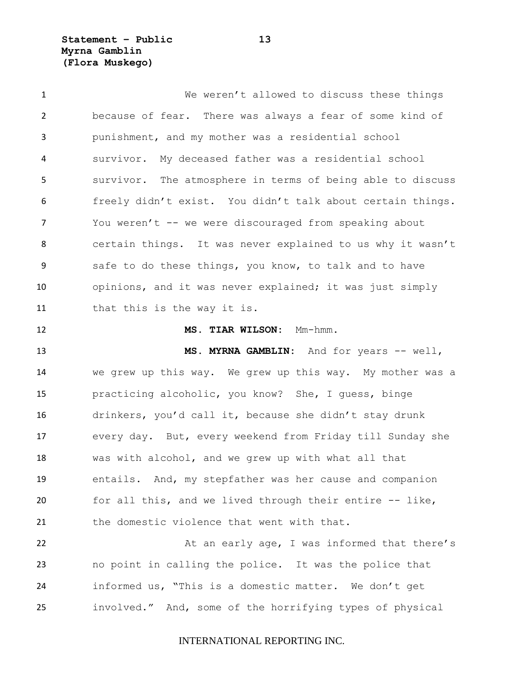**Statement – Public 13 Myrna Gamblin (Flora Muskego)**

 We weren't allowed to discuss these things because of fear. There was always a fear of some kind of punishment, and my mother was a residential school survivor. My deceased father was a residential school survivor. The atmosphere in terms of being able to discuss freely didn't exist. You didn't talk about certain things. You weren't -- we were discouraged from speaking about certain things. It was never explained to us why it wasn't safe to do these things, you know, to talk and to have opinions, and it was never explained; it was just simply that this is the way it is. **MS. TIAR WILSON:** Mm-hmm. **MS. MYRNA GAMBLIN:** And for years -- well, we grew up this way. We grew up this way. My mother was a practicing alcoholic, you know? She, I guess, binge drinkers, you'd call it, because she didn't stay drunk every day. But, every weekend from Friday till Sunday she was with alcohol, and we grew up with what all that entails. And, my stepfather was her cause and companion for all this, and we lived through their entire -- like, the domestic violence that went with that. 22 At an early age, I was informed that there's no point in calling the police. It was the police that informed us, "This is a domestic matter. We don't get

INTERNATIONAL REPORTING INC.

involved." And, some of the horrifying types of physical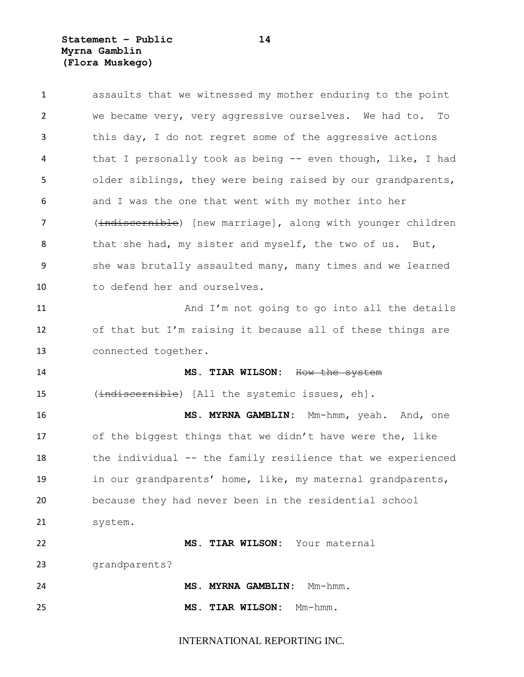**Statement – Public 14 Myrna Gamblin (Flora Muskego)**

| $\mathbf{1}$ | assaults that we witnessed my mother enduring to the point  |
|--------------|-------------------------------------------------------------|
| 2            | we became very, very aggressive ourselves. We had to. To    |
| 3            | this day, I do not regret some of the aggressive actions    |
| 4            | that I personally took as being -- even though, like, I had |
| 5            | older siblings, they were being raised by our grandparents, |
| 6            | and I was the one that went with my mother into her         |
| 7            | (indiscernible) [new marriage], along with younger children |
| 8            | that she had, my sister and myself, the two of us. But,     |
| 9            | she was brutally assaulted many, many times and we learned  |
| 10           | to defend her and ourselves.                                |
| 11           | And I'm not going to go into all the details                |
| 12           | of that but I'm raising it because all of these things are  |
| 13           | connected together.                                         |
| 14           | MS. TIAR WILSON: How the system                             |
| 15           | (indiscernible) [All the systemic issues, eh].              |
| 16           | MS. MYRNA GAMBLIN: Mm-hmm, yeah. And, one                   |
| 17           | of the biggest things that we didn't have were the, like    |
| 18           | the individual -- the family resilience that we experienced |
| 19           | in our grandparents' home, like, my maternal grandparents,  |
| 20           | because they had never been in the residential school       |
| 21           | system.                                                     |
| 22           | MS. TIAR WILSON: Your maternal                              |
| 23           | grandparents?                                               |
| 24           | MS. MYRNA GAMBLIN:<br>Mm-hmm.                               |
| 25           | MS. TIAR WILSON:<br>Mm-hmm.                                 |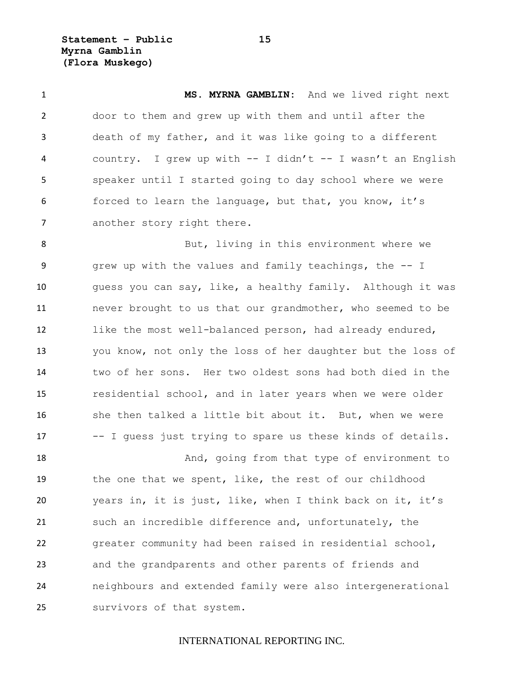**Statement – Public 15 Myrna Gamblin (Flora Muskego)**

 **MS. MYRNA GAMBLIN:** And we lived right next door to them and grew up with them and until after the death of my father, and it was like going to a different 4 country. I grew up with -- I didn't -- I wasn't an English speaker until I started going to day school where we were forced to learn the language, but that, you know, it's 7 another story right there.

8 But, living in this environment where we grew up with the values and family teachings, the -- I guess you can say, like, a healthy family. Although it was never brought to us that our grandmother, who seemed to be like the most well-balanced person, had already endured, you know, not only the loss of her daughter but the loss of two of her sons. Her two oldest sons had both died in the residential school, and in later years when we were older 16 she then talked a little bit about it. But, when we were -- I guess just trying to spare us these kinds of details.

18 And, going from that type of environment to the one that we spent, like, the rest of our childhood years in, it is just, like, when I think back on it, it's such an incredible difference and, unfortunately, the greater community had been raised in residential school, and the grandparents and other parents of friends and neighbours and extended family were also intergenerational survivors of that system.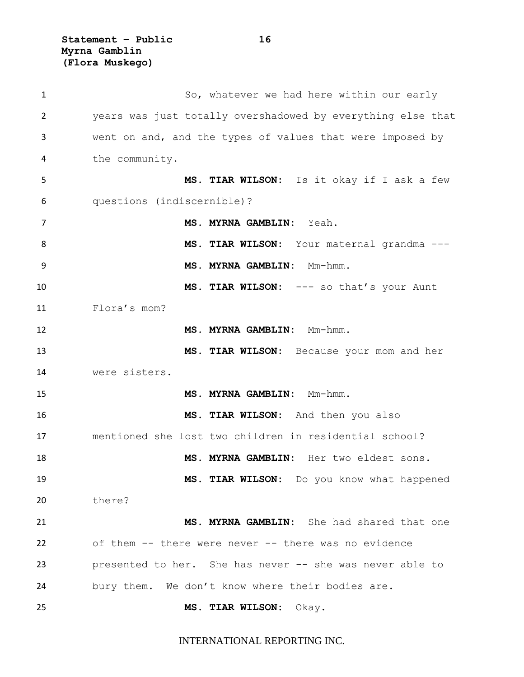**Statement – Public 16 Myrna Gamblin (Flora Muskego)**

| $\mathbf{1}$ | So, whatever we had here within our early                   |
|--------------|-------------------------------------------------------------|
| 2            | years was just totally overshadowed by everything else that |
| 3            | went on and, and the types of values that were imposed by   |
| 4            | the community.                                              |
| 5            | MS. TIAR WILSON: Is it okay if I ask a few                  |
| 6            | questions (indiscernible)?                                  |
| 7            | MS. MYRNA GAMBLIN: Yeah.                                    |
| 8            | MS. TIAR WILSON: Your maternal grandma ---                  |
| 9            | MS. MYRNA GAMBLIN: Mm-hmm.                                  |
| 10           | MS. TIAR WILSON: --- so that's your Aunt                    |
| 11           | Flora's mom?                                                |
| 12           | MS. MYRNA GAMBLIN: Mm-hmm.                                  |
| 13           | MS. TIAR WILSON: Because your mom and her                   |
| 14           | were sisters.                                               |
| 15           | MS. MYRNA GAMBLIN: Mm-hmm.                                  |
| 16           | MS. TIAR WILSON: And then you also                          |
| 17           | mentioned she lost two children in residential school?      |
| 18           | MS. MYRNA GAMBLIN: Her two eldest sons.                     |
| 19           | MS. TIAR WILSON: Do you know what happened                  |
| 20           | there?                                                      |
| 21           | MS. MYRNA GAMBLIN: She had shared that one                  |
| 22           | of them -- there were never -- there was no evidence        |
| 23           | presented to her. She has never -- she was never able to    |
| 24           | bury them. We don't know where their bodies are.            |
| 25           | MS. TIAR WILSON: Okay.                                      |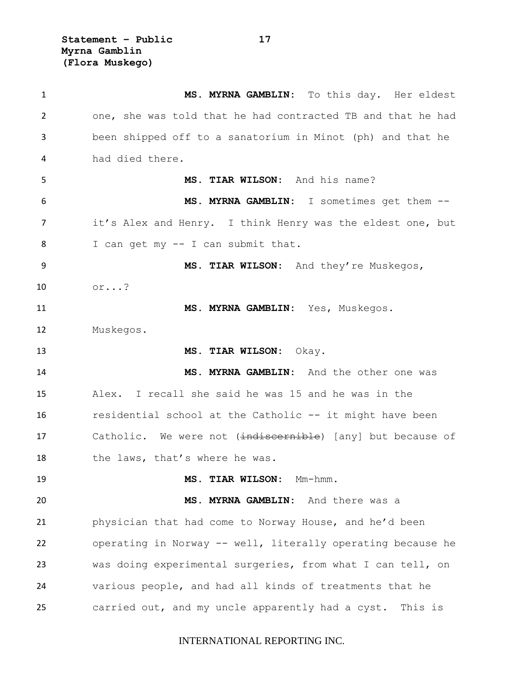**Statement – Public 17 Myrna Gamblin (Flora Muskego)**

 **MS. MYRNA GAMBLIN:** To this day. Her eldest one, she was told that he had contracted TB and that he had been shipped off to a sanatorium in Minot (ph) and that he had died there. **MS. TIAR WILSON:** And his name? **MS. MYRNA GAMBLIN:** I sometimes get them -- it's Alex and Henry. I think Henry was the eldest one, but I can get my -- I can submit that. **MS. TIAR WILSON:** And they're Muskegos, or...? **MS. MYRNA GAMBLIN:** Yes, Muskegos. Muskegos. **MS. TIAR WILSON:** Okay. **MS. MYRNA GAMBLIN:** And the other one was Alex. I recall she said he was 15 and he was in the residential school at the Catholic -- it might have been 17 Catholic. We were not (indiscernible) [any] but because of 18 the laws, that's where he was. **MS. TIAR WILSON:** Mm-hmm. **MS. MYRNA GAMBLIN:** And there was a physician that had come to Norway House, and he'd been operating in Norway -- well, literally operating because he was doing experimental surgeries, from what I can tell, on various people, and had all kinds of treatments that he carried out, and my uncle apparently had a cyst. This is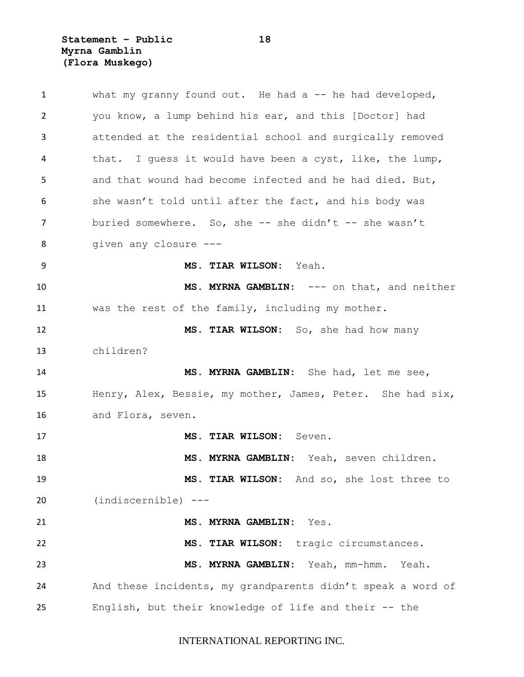**Statement – Public 18 Myrna Gamblin (Flora Muskego)**

| 1  | what my granny found out. He had a $-$ he had developed,    |
|----|-------------------------------------------------------------|
| 2  | you know, a lump behind his ear, and this [Doctor] had      |
| 3  | attended at the residential school and surgically removed   |
| 4  | that. I guess it would have been a cyst, like, the lump,    |
| 5  | and that wound had become infected and he had died. But,    |
| 6  | she wasn't told until after the fact, and his body was      |
| 7  | buried somewhere. So, she $-$ she didn't $-$ she wasn't     |
| 8  | given any closure ---                                       |
| 9  | MS. TIAR WILSON: Yeah.                                      |
| 10 | MS. MYRNA GAMBLIN: --- on that, and neither                 |
| 11 | was the rest of the family, including my mother.            |
| 12 | MS. TIAR WILSON: So, she had how many                       |
| 13 | children?                                                   |
| 14 | MS. MYRNA GAMBLIN: She had, let me see,                     |
| 15 | Henry, Alex, Bessie, my mother, James, Peter. She had six,  |
| 16 | and Flora, seven.                                           |
| 17 | MS. TIAR WILSON: Seven.                                     |
| 18 | MS. MYRNA GAMBLIN: Yeah, seven children.                    |
| 19 | MS. TIAR WILSON: And so, she lost three to                  |
| 20 | $(indiscernible)$ ---                                       |
| 21 | MS. MYRNA GAMBLIN:<br>Yes.                                  |
| 22 | MS. TIAR WILSON: tragic circumstances.                      |
| 23 | MS. MYRNA GAMBLIN: Yeah, mm-hmm.<br>Yeah.                   |
| 24 | And these incidents, my grandparents didn't speak a word of |
| 25 | English, but their knowledge of life and their -- the       |
|    |                                                             |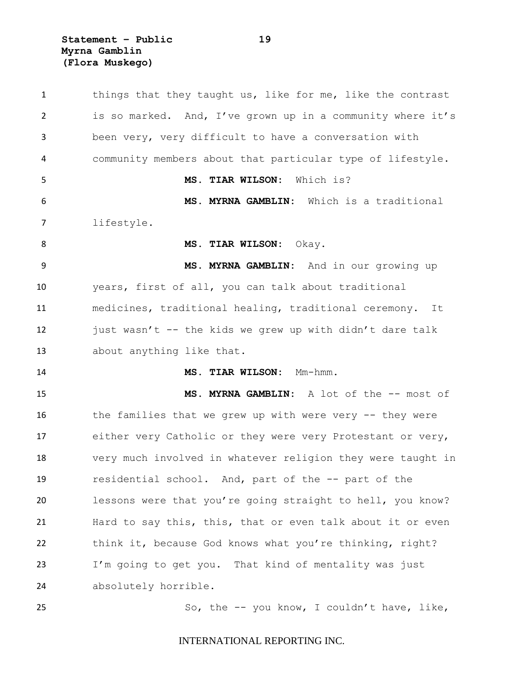**Statement – Public 19 Myrna Gamblin (Flora Muskego)**

1 things that they taught us, like for me, like the contrast is so marked. And, I've grown up in a community where it's been very, very difficult to have a conversation with community members about that particular type of lifestyle. **MS. TIAR WILSON:** Which is? **MS. MYRNA GAMBLIN:** Which is a traditional lifestyle. **MS. TIAR WILSON:** Okay. **MS. MYRNA GAMBLIN:** And in our growing up years, first of all, you can talk about traditional medicines, traditional healing, traditional ceremony. It 12 just wasn't  $-$  the kids we grew up with didn't dare talk about anything like that. **MS. TIAR WILSON:** Mm-hmm. **MS. MYRNA GAMBLIN:** A lot of the -- most of 16 the families that we grew up with were very -- they were 17 either very Catholic or they were very Protestant or very, very much involved in whatever religion they were taught in residential school. And, part of the -- part of the lessons were that you're going straight to hell, you know? Hard to say this, this, that or even talk about it or even think it, because God knows what you're thinking, right? I'm going to get you. That kind of mentality was just absolutely horrible. So, the -- you know, I couldn't have, like,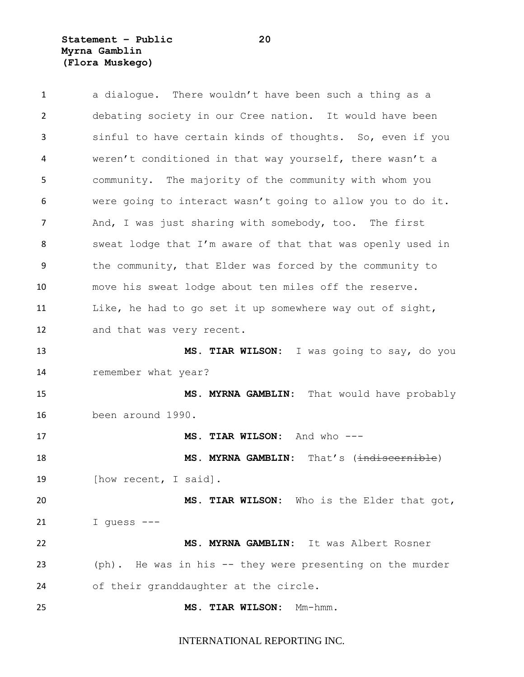# **Statement – Public 20 Myrna Gamblin (Flora Muskego)**

| $\mathbf{1}$ | a dialogue. There wouldn't have been such a thing as a     |
|--------------|------------------------------------------------------------|
| 2            | debating society in our Cree nation. It would have been    |
| 3            | sinful to have certain kinds of thoughts. So, even if you  |
| 4            | weren't conditioned in that way yourself, there wasn't a   |
| 5            | community. The majority of the community with whom you     |
| 6            | were going to interact wasn't going to allow you to do it. |
| 7            | And, I was just sharing with somebody, too. The first      |
| 8            | sweat lodge that I'm aware of that that was openly used in |
| 9            | the community, that Elder was forced by the community to   |
| 10           | move his sweat lodge about ten miles off the reserve.      |
| 11           | Like, he had to go set it up somewhere way out of sight,   |
| 12           | and that was very recent.                                  |
| 13           | MS. TIAR WILSON: I was going to say, do you                |
| 14           | remember what year?                                        |
| 15           | That would have probably<br>MS. MYRNA GAMBLIN:             |
| 16           | been around 1990.                                          |
| 17           | MS. TIAR WILSON: And who ---                               |
| 18           | MS. MYRNA GAMBLIN: That's (indiscernible)                  |
| 19           | [how recent, I said].                                      |
| 20           | MS. TIAR WILSON: Who is the Elder that got,                |
| 21           | I quess $---$                                              |
| 22           | MS. MYRNA GAMBLIN: It was Albert Rosner                    |
| 23           | (ph). He was in his -- they were presenting on the murder  |
| 24           | of their granddaughter at the circle.                      |
| 25           | MS. TIAR WILSON:<br>Mm-hmm.                                |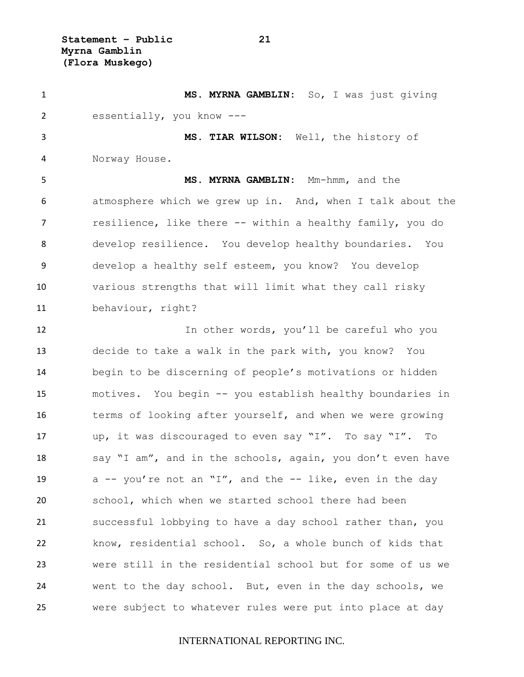**Statement – Public 21 Myrna Gamblin (Flora Muskego)**

 **MS. MYRNA GAMBLIN:** So, I was just giving essentially, you know --- **MS. TIAR WILSON:** Well, the history of Norway House. **MS. MYRNA GAMBLIN:** Mm-hmm, and the atmosphere which we grew up in. And, when I talk about the resilience, like there -- within a healthy family, you do develop resilience. You develop healthy boundaries. You develop a healthy self esteem, you know? You develop various strengths that will limit what they call risky behaviour, right? 12 12 In other words, you'll be careful who you decide to take a walk in the park with, you know? You begin to be discerning of people's motivations or hidden motives. You begin -- you establish healthy boundaries in terms of looking after yourself, and when we were growing up, it was discouraged to even say "I". To say "I". To 18 say "I am", and in the schools, again, you don't even have 19 a -- you're not an "I", and the -- like, even in the day school, which when we started school there had been successful lobbying to have a day school rather than, you know, residential school. So, a whole bunch of kids that were still in the residential school but for some of us we went to the day school. But, even in the day schools, we were subject to whatever rules were put into place at day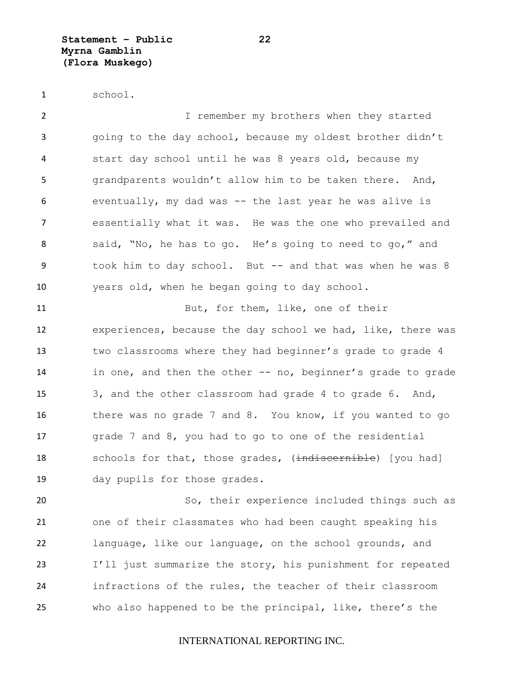school.

 I remember my brothers when they started going to the day school, because my oldest brother didn't start day school until he was 8 years old, because my grandparents wouldn't allow him to be taken there. And, eventually, my dad was -- the last year he was alive is essentially what it was. He was the one who prevailed and 8 said, "No, he has to go. He's going to need to go," and took him to day school. But -- and that was when he was 8 years old, when he began going to day school.

 But, for them, like, one of their experiences, because the day school we had, like, there was two classrooms where they had beginner's grade to grade 4 in one, and then the other -- no, beginner's grade to grade 3, and the other classroom had grade 4 to grade 6. And, there was no grade 7 and 8. You know, if you wanted to go grade 7 and 8, you had to go to one of the residential 18 schools for that, those grades, (indiscernible) [you had] day pupils for those grades.

 So, their experience included things such as one of their classmates who had been caught speaking his language, like our language, on the school grounds, and I'll just summarize the story, his punishment for repeated infractions of the rules, the teacher of their classroom who also happened to be the principal, like, there's the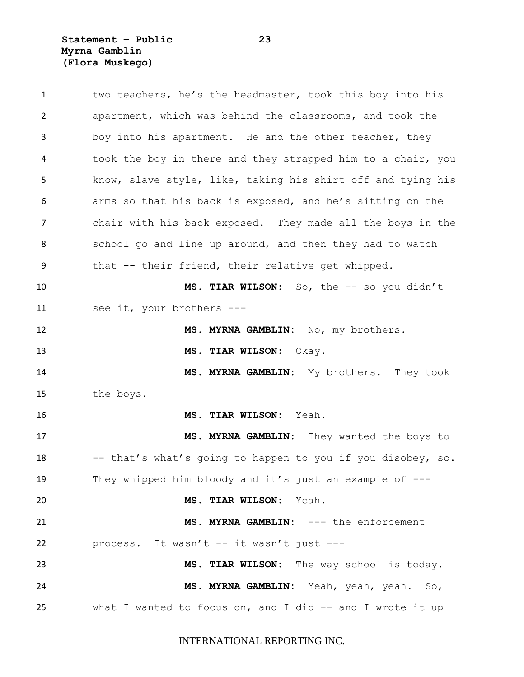**Statement – Public 23 Myrna Gamblin (Flora Muskego)**

| $\mathbf{1}$ | two teachers, he's the headmaster, took this boy into his   |
|--------------|-------------------------------------------------------------|
| 2            | apartment, which was behind the classrooms, and took the    |
| 3            | boy into his apartment. He and the other teacher, they      |
| 4            | took the boy in there and they strapped him to a chair, you |
| 5            | know, slave style, like, taking his shirt off and tying his |
| 6            | arms so that his back is exposed, and he's sitting on the   |
| 7            | chair with his back exposed. They made all the boys in the  |
| 8            | school go and line up around, and then they had to watch    |
| 9            | that -- their friend, their relative get whipped.           |
| 10           | MS. TIAR WILSON: So, the -- so you didn't                   |
| 11           | see it, your brothers ---                                   |
| 12           | MS. MYRNA GAMBLIN: No, my brothers.                         |
| 13           | MS. TIAR WILSON: Okay.                                      |
| 14           | MS. MYRNA GAMBLIN: My brothers. They took                   |
| 15           | the boys.                                                   |
| 16           | <b>MS. TIAR WILSON:</b><br>Yeah.                            |
| 17           | MS. MYRNA GAMBLIN: They wanted the boys to                  |
| 18           | -- that's what's going to happen to you if you disobey, so. |
| 19           | They whipped him bloody and it's just an example of $---$   |
| 20           | MS. TIAR WILSON: Yeah.                                      |
| 21           | MS. MYRNA GAMBLIN: --- the enforcement                      |
| 22           | process. It wasn't -- it wasn't just ---                    |
| 23           | MS. TIAR WILSON: The way school is today.                   |
| 24           | MS. MYRNA GAMBLIN: Yeah, yeah, yeah. So,                    |
| 25           | what I wanted to focus on, and I did -- and I wrote it up   |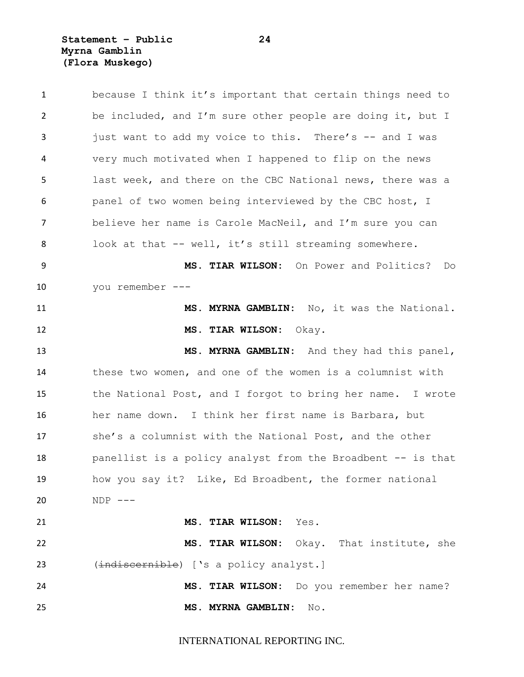**Statement – Public 24 Myrna Gamblin (Flora Muskego)**

| $\mathbf{1}$ | because I think it's important that certain things need to  |
|--------------|-------------------------------------------------------------|
| 2            | be included, and I'm sure other people are doing it, but I  |
| 3            | just want to add my voice to this. There's -- and I was     |
| 4            | very much motivated when I happened to flip on the news     |
| 5            | last week, and there on the CBC National news, there was a  |
| 6            | panel of two women being interviewed by the CBC host, I     |
| 7            | believe her name is Carole MacNeil, and I'm sure you can    |
| 8            | look at that -- well, it's still streaming somewhere.       |
| 9            | MS. TIAR WILSON: On Power and Politics?<br>Do               |
| 10           | you remember ---                                            |
| 11           | MS. MYRNA GAMBLIN: No, it was the National.                 |
| 12           | MS. TIAR WILSON: Okay.                                      |
| 13           | MS. MYRNA GAMBLIN: And they had this panel,                 |
|              |                                                             |
| 14           | these two women, and one of the women is a columnist with   |
| 15           | the National Post, and I forgot to bring her name. I wrote  |
| 16           | her name down. I think her first name is Barbara, but       |
| 17           | she's a columnist with the National Post, and the other     |
| 18           | panellist is a policy analyst from the Broadbent -- is that |
| 19           | how you say it? Like, Ed Broadbent, the former national     |
| 20           | $NDP$ ---                                                   |
| 21           | MS. TIAR WILSON: Yes.                                       |
|              | MS. TIAR WILSON: Okay. That institute, she                  |
| 22<br>23     | (indiscernible) ['s a policy analyst.]                      |
| 24           | MS. TIAR WILSON: Do you remember her name?                  |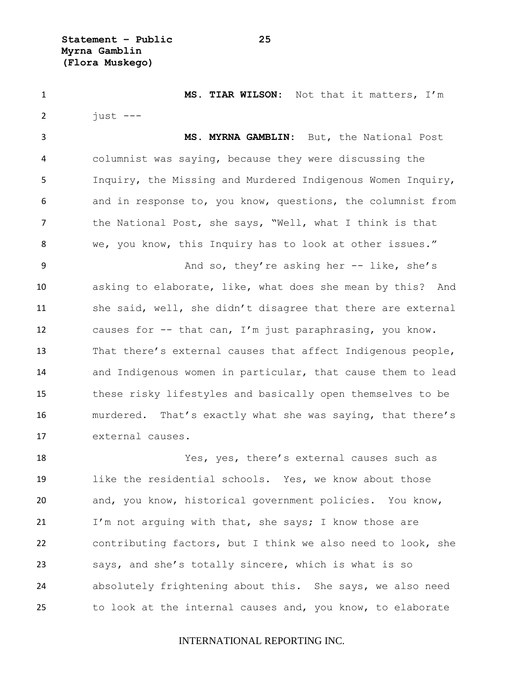**Statement – Public 25 Myrna Gamblin (Flora Muskego)**

 **MS. TIAR WILSON:** Not that it matters, I'm  $2 \quad \text{just} \quad --$ 

 **MS. MYRNA GAMBLIN:** But, the National Post columnist was saying, because they were discussing the Inquiry, the Missing and Murdered Indigenous Women Inquiry, and in response to, you know, questions, the columnist from the National Post, she says, "Well, what I think is that we, you know, this Inquiry has to look at other issues."

 And so, they're asking her -- like, she's asking to elaborate, like, what does she mean by this? And 11 she said, well, she didn't disagree that there are external causes for -- that can, I'm just paraphrasing, you know. That there's external causes that affect Indigenous people, and Indigenous women in particular, that cause them to lead these risky lifestyles and basically open themselves to be murdered. That's exactly what she was saying, that there's external causes.

 Yes, yes, there's external causes such as like the residential schools. Yes, we know about those and, you know, historical government policies. You know, 21 I'm not arguing with that, she says; I know those are contributing factors, but I think we also need to look, she says, and she's totally sincere, which is what is so absolutely frightening about this. She says, we also need to look at the internal causes and, you know, to elaborate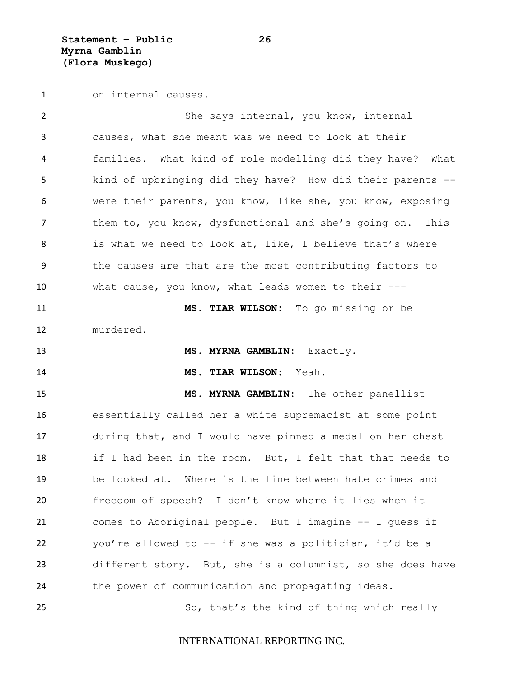**Statement – Public 26 Myrna Gamblin (Flora Muskego)**

on internal causes.

 She says internal, you know, internal causes, what she meant was we need to look at their families. What kind of role modelling did they have? What kind of upbringing did they have? How did their parents -- were their parents, you know, like she, you know, exposing them to, you know, dysfunctional and she's going on. This 8 is what we need to look at, like, I believe that's where the causes are that are the most contributing factors to what cause, you know, what leads women to their --- **MS. TIAR WILSON:** To go missing or be murdered. **MS. MYRNA GAMBLIN:** Exactly. **MS. TIAR WILSON:** Yeah. **MS. MYRNA GAMBLIN:** The other panellist essentially called her a white supremacist at some point during that, and I would have pinned a medal on her chest if I had been in the room. But, I felt that that needs to be looked at. Where is the line between hate crimes and freedom of speech? I don't know where it lies when it comes to Aboriginal people. But I imagine -- I guess if you're allowed to -- if she was a politician, it'd be a different story. But, she is a columnist, so she does have the power of communication and propagating ideas. So, that's the kind of thing which really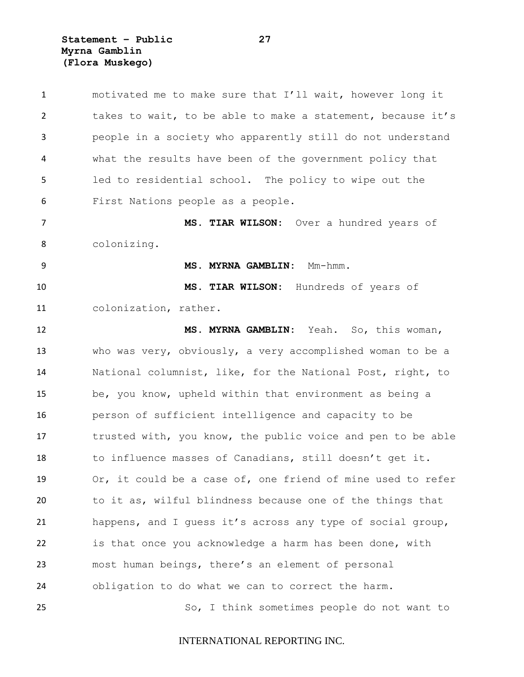**Statement – Public 27 Myrna Gamblin (Flora Muskego)**

| $\mathbf{1}$   | motivated me to make sure that I'll wait, however long it   |
|----------------|-------------------------------------------------------------|
| $\overline{2}$ | takes to wait, to be able to make a statement, because it's |
| 3              | people in a society who apparently still do not understand  |
| 4              | what the results have been of the government policy that    |
| 5              | led to residential school. The policy to wipe out the       |
| 6              | First Nations people as a people.                           |
| $\overline{7}$ | MS. TIAR WILSON: Over a hundred years of                    |
| 8              | colonizing.                                                 |
| 9              | MS. MYRNA GAMBLIN: Mm-hmm.                                  |
| 10             | MS. TIAR WILSON: Hundreds of years of                       |
| 11             | colonization, rather.                                       |
| 12             | MS. MYRNA GAMBLIN: Yeah. So, this woman,                    |
| 13             | who was very, obviously, a very accomplished woman to be a  |
| 14             | National columnist, like, for the National Post, right, to  |
| 15             | be, you know, upheld within that environment as being a     |
| 16             | person of sufficient intelligence and capacity to be        |
| 17             | trusted with, you know, the public voice and pen to be able |
| 18             | to influence masses of Canadians, still doesn't get it.     |
| 19             | Or, it could be a case of, one friend of mine used to refer |
| 20             | to it as, wilful blindness because one of the things that   |
| 21             | happens, and I quess it's across any type of social group,  |
| 22             | is that once you acknowledge a harm has been done, with     |
| 23             | most human beings, there's an element of personal           |
| 24             | obligation to do what we can to correct the harm.           |
| 25             | So, I think sometimes people do not want to                 |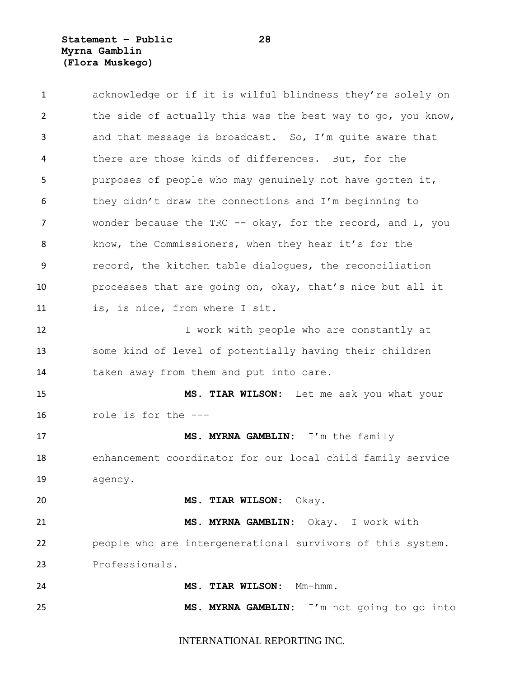**Statement – Public 28 Myrna Gamblin (Flora Muskego)**

 acknowledge or if it is wilful blindness they're solely on 2 the side of actually this was the best way to go, you know, and that message is broadcast. So, I'm quite aware that there are those kinds of differences. But, for the purposes of people who may genuinely not have gotten it, they didn't draw the connections and I'm beginning to 7 wonder because the TRC -- okay, for the record, and I, you know, the Commissioners, when they hear it's for the record, the kitchen table dialogues, the reconciliation processes that are going on, okay, that's nice but all it is, is nice, from where I sit. 12 I work with people who are constantly at some kind of level of potentially having their children 14 taken away from them and put into care. **MS. TIAR WILSON:** Let me ask you what your role is for the --- **MS. MYRNA GAMBLIN:** I'm the family enhancement coordinator for our local child family service agency. **MS. TIAR WILSON:** Okay. **MS. MYRNA GAMBLIN:** Okay. I work with people who are intergenerational survivors of this system. Professionals. **MS. TIAR WILSON:** Mm-hmm. **MS. MYRNA GAMBLIN:** I'm not going to go into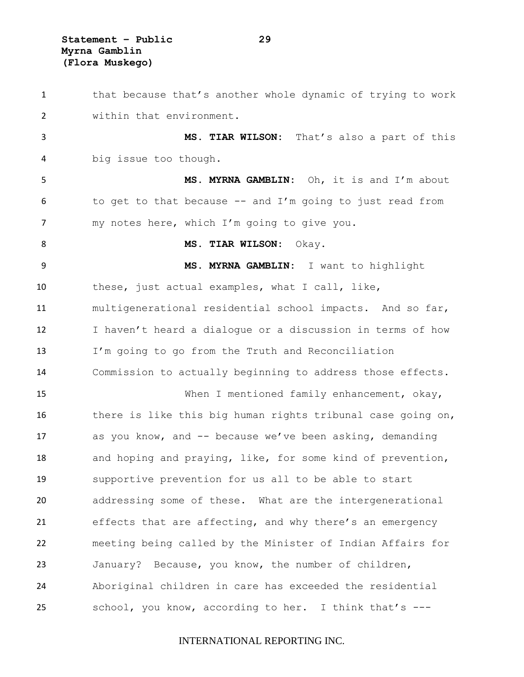**Statement – Public 29 Myrna Gamblin (Flora Muskego)**

1 that because that's another whole dynamic of trying to work within that environment. **MS. TIAR WILSON:** That's also a part of this big issue too though. **MS. MYRNA GAMBLIN:** Oh, it is and I'm about 6 to get to that because  $-$  and I'm going to just read from my notes here, which I'm going to give you. 8 MS. TIAR WILSON: Okay. **MS. MYRNA GAMBLIN:** I want to highlight these, just actual examples, what I call, like, multigenerational residential school impacts. And so far, I haven't heard a dialogue or a discussion in terms of how I'm going to go from the Truth and Reconciliation Commission to actually beginning to address those effects. When I mentioned family enhancement, okay, there is like this big human rights tribunal case going on, as you know, and -- because we've been asking, demanding and hoping and praying, like, for some kind of prevention, supportive prevention for us all to be able to start addressing some of these. What are the intergenerational effects that are affecting, and why there's an emergency meeting being called by the Minister of Indian Affairs for January? Because, you know, the number of children, Aboriginal children in care has exceeded the residential school, you know, according to her. I think that's ---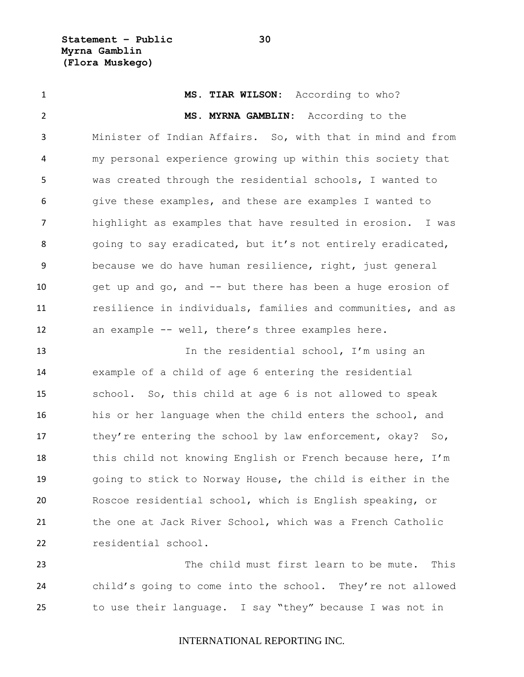**Statement – Public 30 Myrna Gamblin (Flora Muskego)**

 **MS. TIAR WILSON:** According to who? **MS. MYRNA GAMBLIN:** According to the Minister of Indian Affairs. So, with that in mind and from my personal experience growing up within this society that was created through the residential schools, I wanted to give these examples, and these are examples I wanted to highlight as examples that have resulted in erosion. I was 8 going to say eradicated, but it's not entirely eradicated, because we do have human resilience, right, just general 10 get up and go, and -- but there has been a huge erosion of resilience in individuals, families and communities, and as an example -- well, there's three examples here.

13 13 In the residential school, I'm using an example of a child of age 6 entering the residential school. So, this child at age 6 is not allowed to speak his or her language when the child enters the school, and 17 they're entering the school by law enforcement, okay? So, 18 this child not knowing English or French because here, I'm going to stick to Norway House, the child is either in the Roscoe residential school, which is English speaking, or 21 the one at Jack River School, which was a French Catholic residential school.

 The child must first learn to be mute. This child's going to come into the school. They're not allowed to use their language. I say "they" because I was not in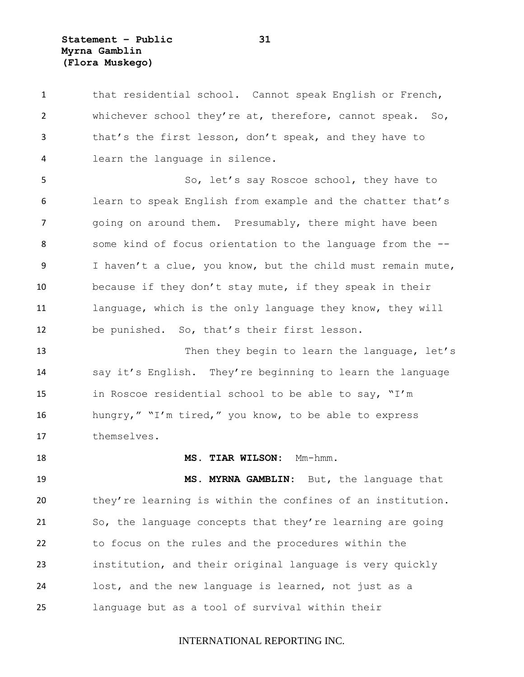**Statement – Public 31 Myrna Gamblin (Flora Muskego)**

 that residential school. Cannot speak English or French, 2 whichever school they're at, therefore, cannot speak. So, that's the first lesson, don't speak, and they have to learn the language in silence.

 So, let's say Roscoe school, they have to learn to speak English from example and the chatter that's going on around them. Presumably, there might have been some kind of focus orientation to the language from the -- I haven't a clue, you know, but the child must remain mute, because if they don't stay mute, if they speak in their language, which is the only language they know, they will be punished. So, that's their first lesson.

13 Then they begin to learn the language, let's say it's English. They're beginning to learn the language in Roscoe residential school to be able to say, "I'm hungry," "I'm tired," you know, to be able to express themselves.

**MS. TIAR WILSON:** Mm-hmm.

 **MS. MYRNA GAMBLIN:** But, the language that they're learning is within the confines of an institution. So, the language concepts that they're learning are going to focus on the rules and the procedures within the institution, and their original language is very quickly lost, and the new language is learned, not just as a language but as a tool of survival within their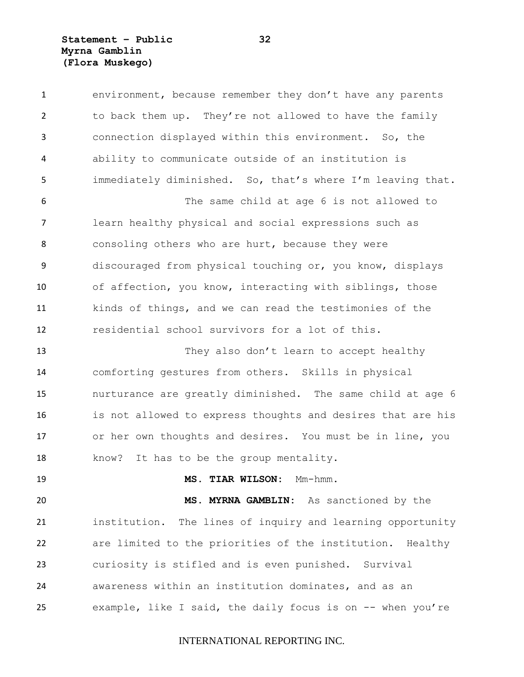**Statement – Public 32 Myrna Gamblin (Flora Muskego)**

 environment, because remember they don't have any parents to back them up. They're not allowed to have the family connection displayed within this environment. So, the ability to communicate outside of an institution is immediately diminished. So, that's where I'm leaving that. The same child at age 6 is not allowed to learn healthy physical and social expressions such as 8 consoling others who are hurt, because they were discouraged from physical touching or, you know, displays of affection, you know, interacting with siblings, those kinds of things, and we can read the testimonies of the residential school survivors for a lot of this. 13 They also don't learn to accept healthy comforting gestures from others. Skills in physical nurturance are greatly diminished. The same child at age 6 is not allowed to express thoughts and desires that are his or her own thoughts and desires. You must be in line, you know? It has to be the group mentality. **MS. TIAR WILSON:** Mm-hmm. **MS. MYRNA GAMBLIN:** As sanctioned by the institution. The lines of inquiry and learning opportunity are limited to the priorities of the institution. Healthy curiosity is stifled and is even punished. Survival awareness within an institution dominates, and as an example, like I said, the daily focus is on -- when you're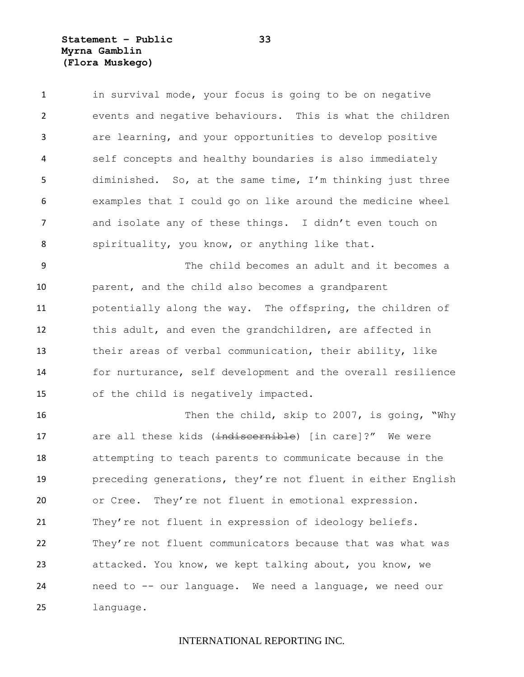**Statement – Public 33 Myrna Gamblin (Flora Muskego)**

1 in survival mode, your focus is going to be on negative events and negative behaviours. This is what the children are learning, and your opportunities to develop positive self concepts and healthy boundaries is also immediately diminished. So, at the same time, I'm thinking just three examples that I could go on like around the medicine wheel and isolate any of these things. I didn't even touch on 8 spirituality, you know, or anything like that.

 The child becomes an adult and it becomes a parent, and the child also becomes a grandparent potentially along the way. The offspring, the children of this adult, and even the grandchildren, are affected in their areas of verbal communication, their ability, like for nurturance, self development and the overall resilience of the child is negatively impacted.

 Then the child, skip to 2007, is going, "Why 17 are all these kids (indiscernible) [in care]?" We were attempting to teach parents to communicate because in the preceding generations, they're not fluent in either English or Cree. They're not fluent in emotional expression. 21 They're not fluent in expression of ideology beliefs. They're not fluent communicators because that was what was attacked. You know, we kept talking about, you know, we need to -- our language. We need a language, we need our language.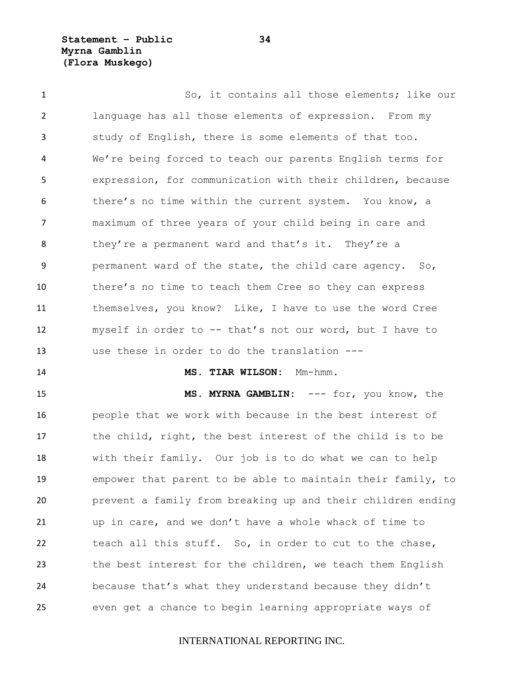**Statement – Public 34 Myrna Gamblin (Flora Muskego)**

 So, it contains all those elements; like our language has all those elements of expression. From my study of English, there is some elements of that too. We're being forced to teach our parents English terms for expression, for communication with their children, because there's no time within the current system. You know, a maximum of three years of your child being in care and 8 they're a permanent ward and that's it. They're a permanent ward of the state, the child care agency. So, there's no time to teach them Cree so they can express themselves, you know? Like, I have to use the word Cree myself in order to -- that's not our word, but I have to use these in order to do the translation --- **MS. TIAR WILSON:** Mm-hmm. **MS. MYRNA GAMBLIN:** --- for, you know, the people that we work with because in the best interest of the child, right, the best interest of the child is to be with their family. Our job is to do what we can to help

 empower that parent to be able to maintain their family, to prevent a family from breaking up and their children ending up in care, and we don't have a whole whack of time to teach all this stuff. So, in order to cut to the chase, the best interest for the children, we teach them English because that's what they understand because they didn't even get a chance to begin learning appropriate ways of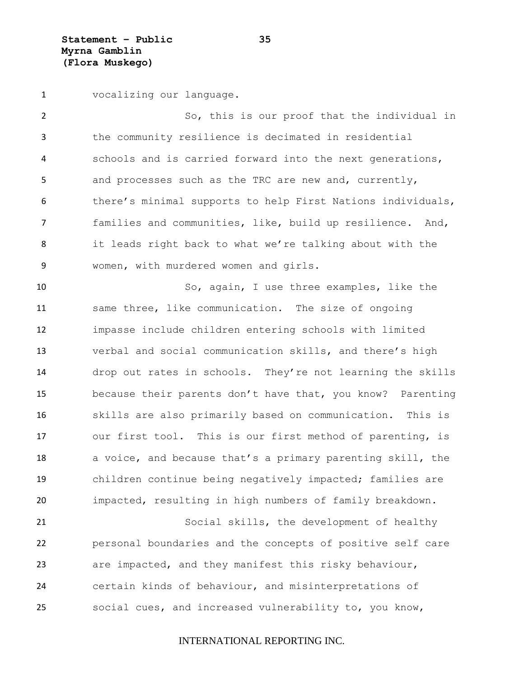**Statement – Public 35 Myrna Gamblin (Flora Muskego)**

vocalizing our language.

 So, this is our proof that the individual in the community resilience is decimated in residential schools and is carried forward into the next generations, and processes such as the TRC are new and, currently, there's minimal supports to help First Nations individuals, families and communities, like, build up resilience. And, it leads right back to what we're talking about with the women, with murdered women and girls.

 So, again, I use three examples, like the same three, like communication. The size of ongoing impasse include children entering schools with limited verbal and social communication skills, and there's high drop out rates in schools. They're not learning the skills because their parents don't have that, you know? Parenting skills are also primarily based on communication. This is our first tool. This is our first method of parenting, is a voice, and because that's a primary parenting skill, the children continue being negatively impacted; families are impacted, resulting in high numbers of family breakdown. Social skills, the development of healthy

 personal boundaries and the concepts of positive self care are impacted, and they manifest this risky behaviour, certain kinds of behaviour, and misinterpretations of social cues, and increased vulnerability to, you know,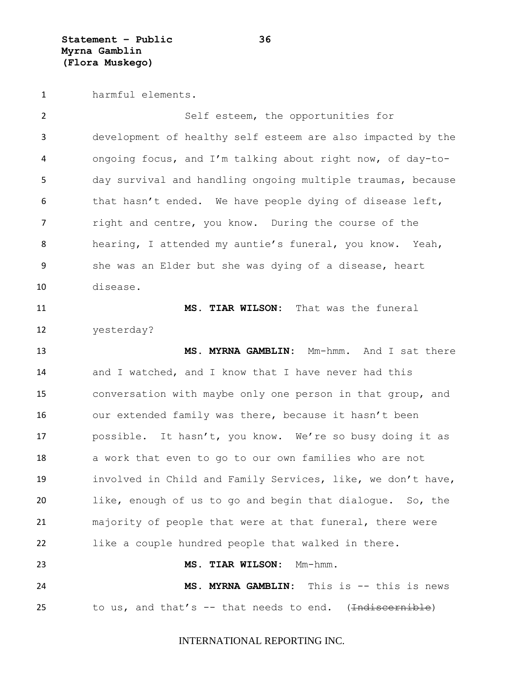harmful elements.

 Self esteem, the opportunities for development of healthy self esteem are also impacted by the ongoing focus, and I'm talking about right now, of day-to- day survival and handling ongoing multiple traumas, because 6 that hasn't ended. We have people dying of disease left, 7 right and centre, you know. During the course of the hearing, I attended my auntie's funeral, you know. Yeah, she was an Elder but she was dying of a disease, heart disease. **MS. TIAR WILSON:** That was the funeral yesterday? **MS. MYRNA GAMBLIN:** Mm-hmm. And I sat there 14 and I watched, and I know that I have never had this conversation with maybe only one person in that group, and our extended family was there, because it hasn't been possible. It hasn't, you know. We're so busy doing it as a work that even to go to our own families who are not involved in Child and Family Services, like, we don't have, like, enough of us to go and begin that dialogue. So, the majority of people that were at that funeral, there were like a couple hundred people that walked in there. **MS. TIAR WILSON:** Mm-hmm. **MS. MYRNA GAMBLIN:** This is -- this is news 25 to us, and that's  $-$  that needs to end. ( $\overline{\text{indiscernible}}$ )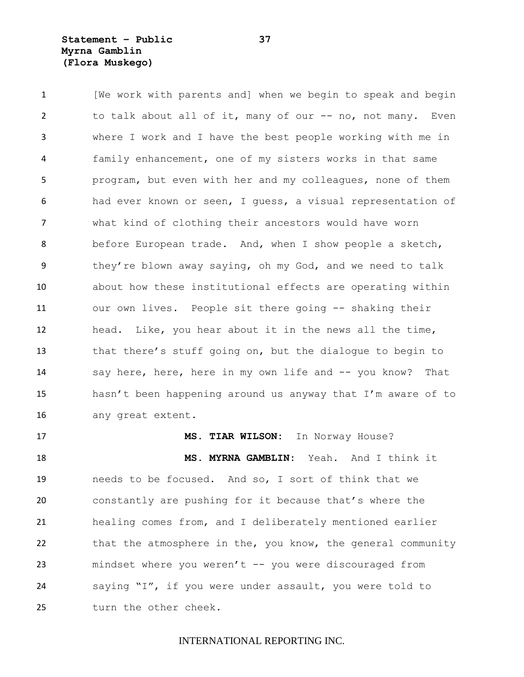**Statement – Public 37 Myrna Gamblin (Flora Muskego)**

 [We work with parents and] when we begin to speak and begin 2 to talk about all of it, many of our -- no, not many. Even where I work and I have the best people working with me in family enhancement, one of my sisters works in that same program, but even with her and my colleagues, none of them had ever known or seen, I guess, a visual representation of what kind of clothing their ancestors would have worn before European trade. And, when I show people a sketch, they're blown away saying, oh my God, and we need to talk about how these institutional effects are operating within our own lives. People sit there going -- shaking their head. Like, you hear about it in the news all the time, that there's stuff going on, but the dialogue to begin to say here, here, here in my own life and -- you know? That hasn't been happening around us anyway that I'm aware of to any great extent.

 **MS. MYRNA GAMBLIN:** Yeah. And I think it needs to be focused. And so, I sort of think that we constantly are pushing for it because that's where the healing comes from, and I deliberately mentioned earlier 22 that the atmosphere in the, you know, the general community mindset where you weren't -- you were discouraged from saying "I", if you were under assault, you were told to turn the other cheek.

**MS. TIAR WILSON:** In Norway House?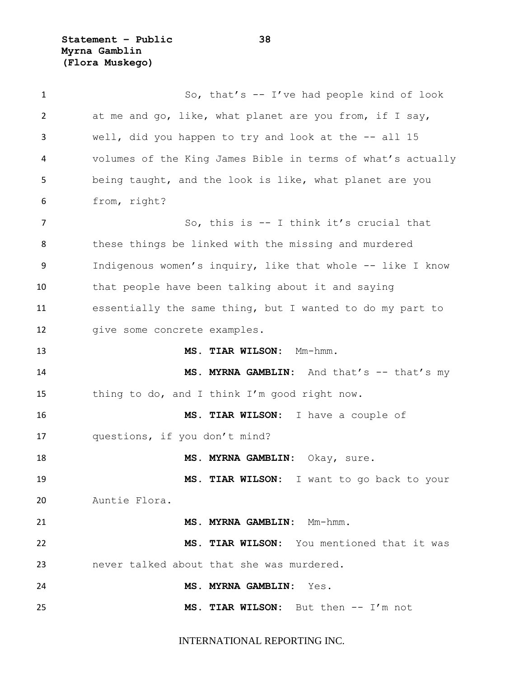**Statement – Public 38 Myrna Gamblin (Flora Muskego)**

 So, that's -- I've had people kind of look at me and go, like, what planet are you from, if I say, well, did you happen to try and look at the -- all 15 volumes of the King James Bible in terms of what's actually being taught, and the look is like, what planet are you from, right? 7 So, this is -- I think it's crucial that 8 these things be linked with the missing and murdered Indigenous women's inquiry, like that whole -- like I know that people have been talking about it and saying essentially the same thing, but I wanted to do my part to 12 qive some concrete examples. **MS. TIAR WILSON:** Mm-hmm. **MS. MYRNA GAMBLIN:** And that's -- that's my thing to do, and I think I'm good right now. **MS. TIAR WILSON:** I have a couple of questions, if you don't mind? **MS. MYRNA GAMBLIN:** Okay, sure. **MS. TIAR WILSON:** I want to go back to your Auntie Flora. **MS. MYRNA GAMBLIN:** Mm-hmm. **MS. TIAR WILSON:** You mentioned that it was never talked about that she was murdered. **MS. MYRNA GAMBLIN:** Yes. **MS. TIAR WILSON:** But then -- I'm not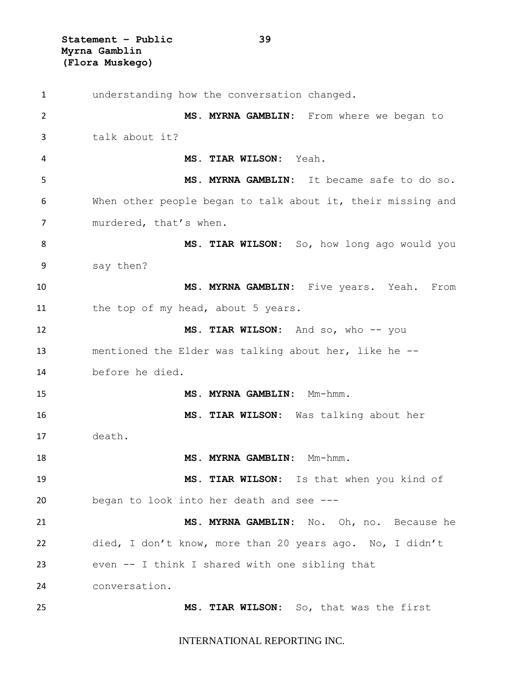**Statement – Public 39 Myrna Gamblin (Flora Muskego)**

 understanding how the conversation changed. **MS. MYRNA GAMBLIN:** From where we began to talk about it? **MS. TIAR WILSON:** Yeah. **MS. MYRNA GAMBLIN:** It became safe to do so. When other people began to talk about it, their missing and 7 murdered, that's when. **MS. TIAR WILSON:** So, how long ago would you say then? **MS. MYRNA GAMBLIN:** Five years. Yeah. From the top of my head, about 5 years. **MS. TIAR WILSON:** And so, who -- you mentioned the Elder was talking about her, like he -- before he died. 15 MS. MYRNA GAMBLIN: Mm-hmm. **MS. TIAR WILSON:** Was talking about her death. **MS. MYRNA GAMBLIN:** Mm-hmm. **MS. TIAR WILSON:** Is that when you kind of began to look into her death and see --- **MS. MYRNA GAMBLIN:** No. Oh, no. Because he died, I don't know, more than 20 years ago. No, I didn't even -- I think I shared with one sibling that conversation. **MS. TIAR WILSON:** So, that was the first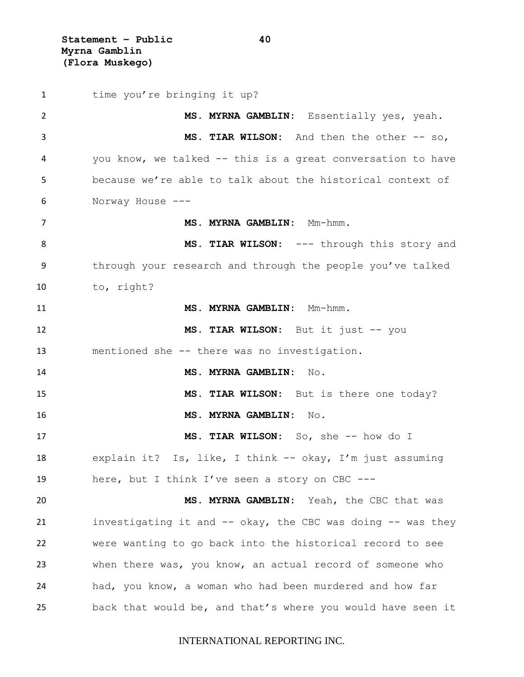**Statement – Public 40 Myrna Gamblin (Flora Muskego)**

1 time you're bringing it up? **MS. MYRNA GAMBLIN:** Essentially yes, yeah. **MS. TIAR WILSON:** And then the other -- so, you know, we talked -- this is a great conversation to have because we're able to talk about the historical context of Norway House --- **MS. MYRNA GAMBLIN:** Mm-hmm. 8 MS. TIAR WILSON: --- through this story and through your research and through the people you've talked to, right? **MS. MYRNA GAMBLIN:** Mm-hmm. **MS. TIAR WILSON:** But it just -- you mentioned she -- there was no investigation. **MS. MYRNA GAMBLIN:** No. **MS. TIAR WILSON:** But is there one today? **MS. MYRNA GAMBLIN:** No. **MS. TIAR WILSON:** So, she -- how do I explain it? Is, like, I think -- okay, I'm just assuming here, but I think I've seen a story on CBC --- **MS. MYRNA GAMBLIN:** Yeah, the CBC that was investigating it and -- okay, the CBC was doing -- was they were wanting to go back into the historical record to see when there was, you know, an actual record of someone who had, you know, a woman who had been murdered and how far back that would be, and that's where you would have seen it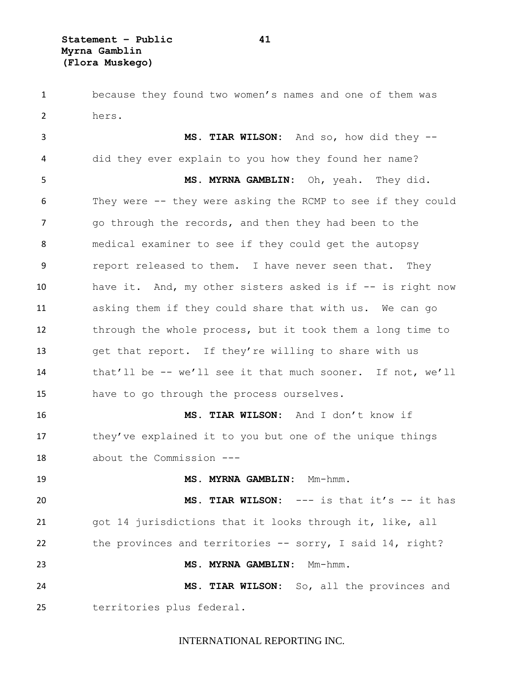because they found two women's names and one of them was hers.

 **MS. TIAR WILSON:** And so, how did they -- did they ever explain to you how they found her name? **MS. MYRNA GAMBLIN:** Oh, yeah. They did. They were -- they were asking the RCMP to see if they could go through the records, and then they had been to the medical examiner to see if they could get the autopsy report released to them. I have never seen that. They have it. And, my other sisters asked is if -- is right now asking them if they could share that with us. We can go through the whole process, but it took them a long time to get that report. If they're willing to share with us that'll be -- we'll see it that much sooner. If not, we'll have to go through the process ourselves. **MS. TIAR WILSON:** And I don't know if they've explained it to you but one of the unique things about the Commission --- **MS. MYRNA GAMBLIN:** Mm-hmm. **MS. TIAR WILSON:** --- is that it's -- it has got 14 jurisdictions that it looks through it, like, all the provinces and territories -- sorry, I said 14, right? **MS. MYRNA GAMBLIN:** Mm-hmm. **MS. TIAR WILSON:** So, all the provinces and

territories plus federal.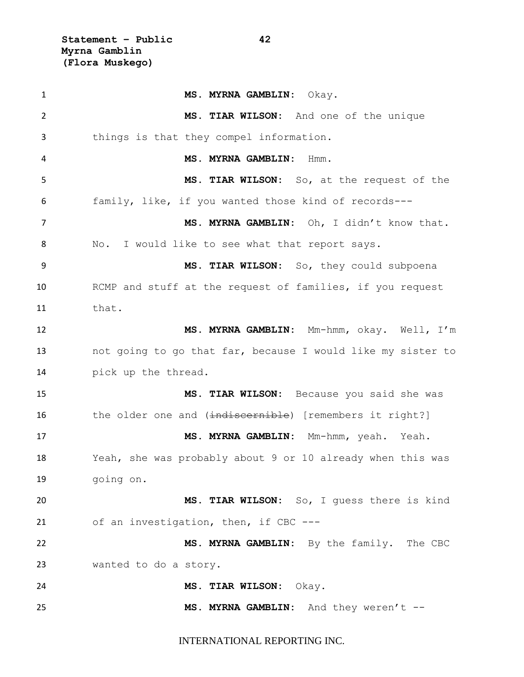**Statement – Public 42 Myrna Gamblin (Flora Muskego)**

 **MS. MYRNA GAMBLIN:** Okay. **MS. TIAR WILSON:** And one of the unique things is that they compel information. **MS. MYRNA GAMBLIN:** Hmm. **MS. TIAR WILSON:** So, at the request of the family, like, if you wanted those kind of records--- **MS. MYRNA GAMBLIN:** Oh, I didn't know that. 8 No. I would like to see what that report says. **MS. TIAR WILSON:** So, they could subpoena RCMP and stuff at the request of families, if you request that. **MS. MYRNA GAMBLIN:** Mm-hmm, okay. Well, I'm not going to go that far, because I would like my sister to pick up the thread. **MS. TIAR WILSON:** Because you said she was 16 the older one and (indiscernible) [remembers it right?] **MS. MYRNA GAMBLIN:** Mm-hmm, yeah. Yeah. Yeah, she was probably about 9 or 10 already when this was going on. **MS. TIAR WILSON:** So, I guess there is kind of an investigation, then, if CBC --- **MS. MYRNA GAMBLIN:** By the family. The CBC wanted to do a story. **MS. TIAR WILSON:** Okay. **MS. MYRNA GAMBLIN:** And they weren't --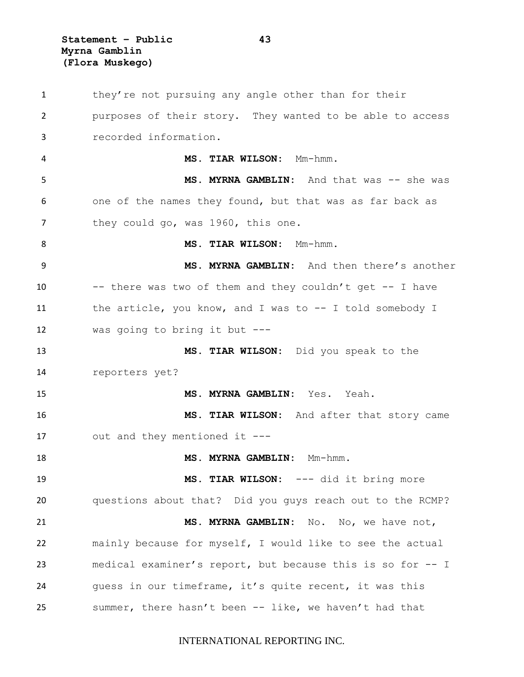**Statement – Public 43 Myrna Gamblin (Flora Muskego)**

 they're not pursuing any angle other than for their purposes of their story. They wanted to be able to access recorded information. **MS. TIAR WILSON:** Mm-hmm. **MS. MYRNA GAMBLIN:** And that was -- she was one of the names they found, but that was as far back as 7 they could go, was 1960, this one. 8 MS. TIAR WILSON: Mm-hmm. **MS. MYRNA GAMBLIN:** And then there's another -- there was two of them and they couldn't get -- I have the article, you know, and I was to -- I told somebody I was going to bring it but --- **MS. TIAR WILSON:** Did you speak to the reporters yet? **MS. MYRNA GAMBLIN:** Yes. Yeah. **MS. TIAR WILSON:** And after that story came out and they mentioned it --- **MS. MYRNA GAMBLIN:** Mm-hmm. **MS. TIAR WILSON:** --- did it bring more questions about that? Did you guys reach out to the RCMP? **MS. MYRNA GAMBLIN:** No. No, we have not, mainly because for myself, I would like to see the actual medical examiner's report, but because this is so for -- I guess in our timeframe, it's quite recent, it was this summer, there hasn't been -- like, we haven't had that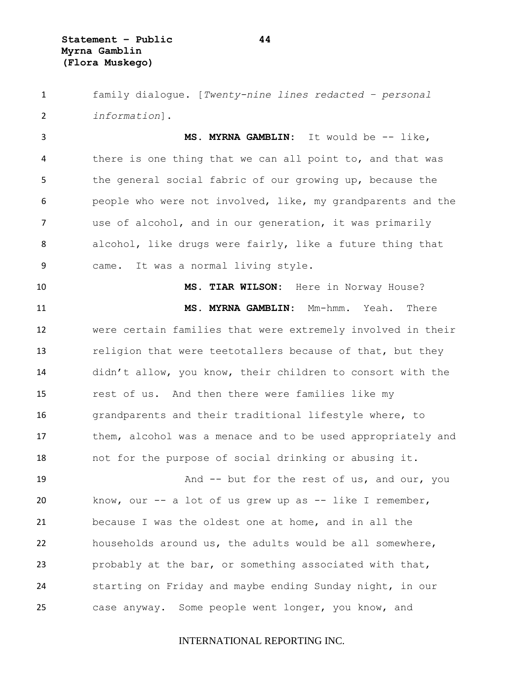family dialogue. [*Twenty-nine lines redacted – personal information*].

 **MS. MYRNA GAMBLIN:** It would be -- like, there is one thing that we can all point to, and that was the general social fabric of our growing up, because the people who were not involved, like, my grandparents and the use of alcohol, and in our generation, it was primarily alcohol, like drugs were fairly, like a future thing that came. It was a normal living style.

 **MS. TIAR WILSON:** Here in Norway House? **MS. MYRNA GAMBLIN:** Mm-hmm. Yeah. There were certain families that were extremely involved in their 13 religion that were teetotallers because of that, but they didn't allow, you know, their children to consort with the rest of us. And then there were families like my grandparents and their traditional lifestyle where, to 17 them, alcohol was a menace and to be used appropriately and not for the purpose of social drinking or abusing it.

19 And -- but for the rest of us, and our, you know, our -- a lot of us grew up as -- like I remember, because I was the oldest one at home, and in all the households around us, the adults would be all somewhere, probably at the bar, or something associated with that, starting on Friday and maybe ending Sunday night, in our case anyway. Some people went longer, you know, and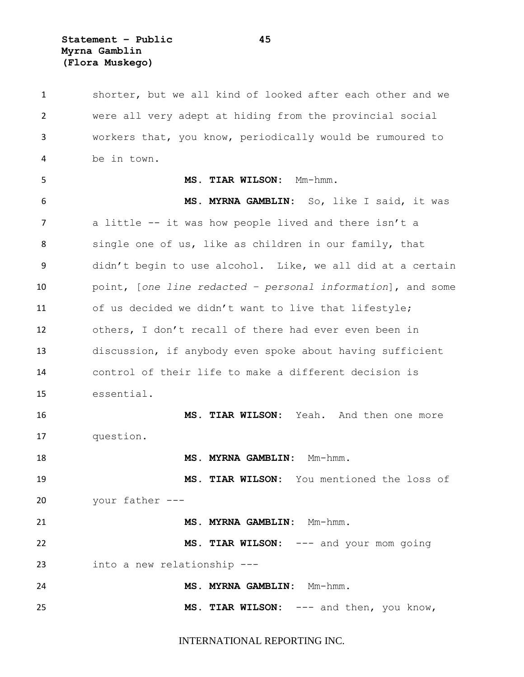**Statement – Public 45 Myrna Gamblin (Flora Muskego)**

 shorter, but we all kind of looked after each other and we were all very adept at hiding from the provincial social workers that, you know, periodically would be rumoured to be in town. **MS. TIAR WILSON:** Mm-hmm. **MS. MYRNA GAMBLIN:** So, like I said, it was a little -- it was how people lived and there isn't a 8 single one of us, like as children in our family, that didn't begin to use alcohol. Like, we all did at a certain point, [*one line redacted – personal information*], and some of us decided we didn't want to live that lifestyle; others, I don't recall of there had ever even been in discussion, if anybody even spoke about having sufficient control of their life to make a different decision is essential. **MS. TIAR WILSON:** Yeah. And then one more question. **MS. MYRNA GAMBLIN:** Mm-hmm. **MS. TIAR WILSON:** You mentioned the loss of your father --- **MS. MYRNA GAMBLIN:** Mm-hmm. **MS. TIAR WILSON:** --- and your mom going into a new relationship --- **MS. MYRNA GAMBLIN:** Mm-hmm. **MS. TIAR WILSON:** --- and then, you know,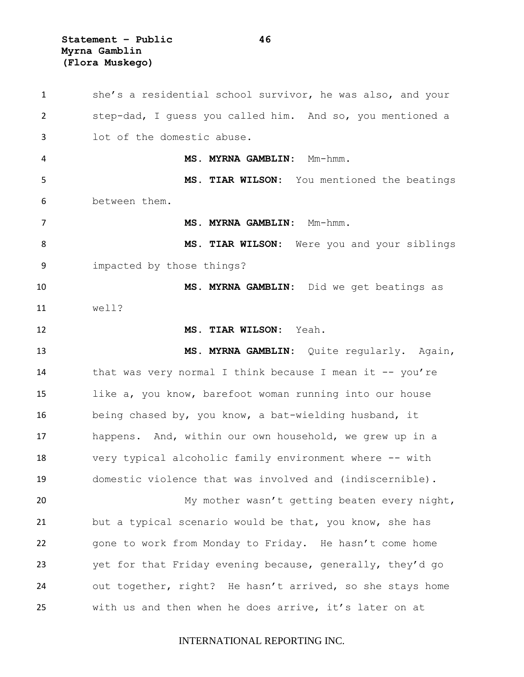**Statement – Public 46 Myrna Gamblin (Flora Muskego)**

 she's a residential school survivor, he was also, and your step-dad, I guess you called him. And so, you mentioned a lot of the domestic abuse. **MS. MYRNA GAMBLIN:** Mm-hmm. **MS. TIAR WILSON:** You mentioned the beatings between them. **MS. MYRNA GAMBLIN:** Mm-hmm. **MS. TIAR WILSON:** Were you and your siblings impacted by those things? **MS. MYRNA GAMBLIN:** Did we get beatings as well? **MS. TIAR WILSON:** Yeah. **MS. MYRNA GAMBLIN:** Quite regularly. Again, 14 that was very normal I think because I mean it -- you're like a, you know, barefoot woman running into our house being chased by, you know, a bat-wielding husband, it happens. And, within our own household, we grew up in a very typical alcoholic family environment where -- with domestic violence that was involved and (indiscernible). 20 My mother wasn't getting beaten every night, 21 but a typical scenario would be that, you know, she has gone to work from Monday to Friday. He hasn't come home yet for that Friday evening because, generally, they'd go out together, right? He hasn't arrived, so she stays home with us and then when he does arrive, it's later on at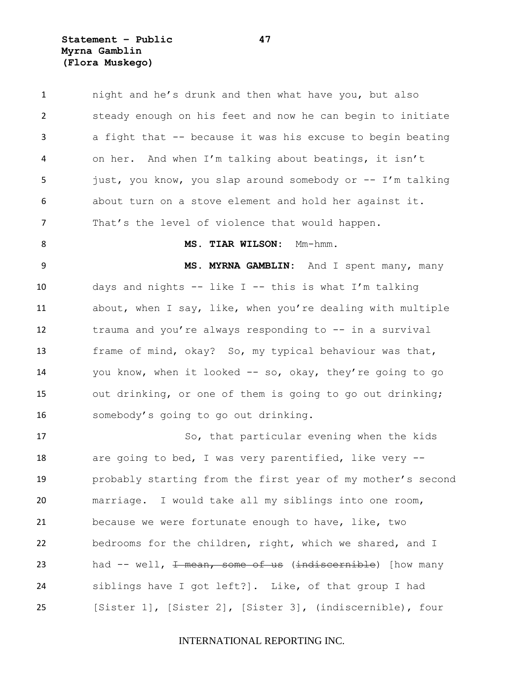**Statement – Public 47 Myrna Gamblin (Flora Muskego)**

1 night and he's drunk and then what have you, but also steady enough on his feet and now he can begin to initiate a fight that -- because it was his excuse to begin beating on her. And when I'm talking about beatings, it isn't just, you know, you slap around somebody or -- I'm talking about turn on a stove element and hold her against it. That's the level of violence that would happen. **MS. TIAR WILSON:** Mm-hmm. **MS. MYRNA GAMBLIN:** And I spent many, many days and nights -- like I -- this is what I'm talking about, when I say, like, when you're dealing with multiple trauma and you're always responding to -- in a survival frame of mind, okay? So, my typical behaviour was that, you know, when it looked -- so, okay, they're going to go out drinking, or one of them is going to go out drinking; somebody's going to go out drinking. 17 So, that particular evening when the kids 18 are going to bed, I was very parentified, like very -- probably starting from the first year of my mother's second marriage. I would take all my siblings into one room,

 because we were fortunate enough to have, like, two bedrooms for the children, right, which we shared, and I 23 had -- well, <del>I mean, some of us</del> (indiscornible) [how many siblings have I got left?]. Like, of that group I had [Sister 1], [Sister 2], [Sister 3], (indiscernible), four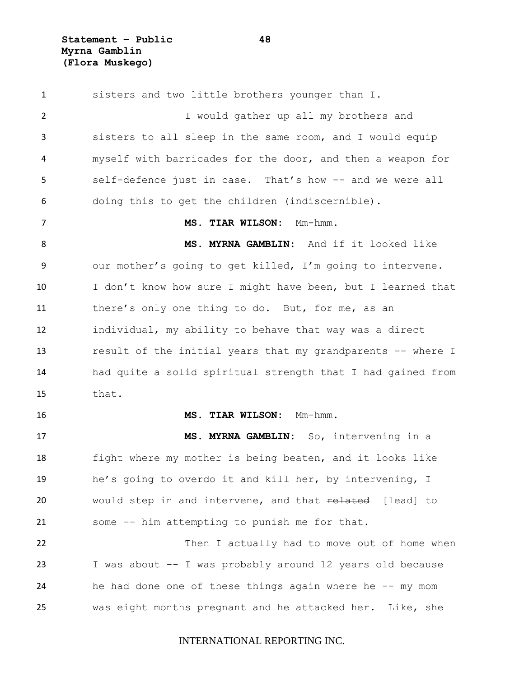**Statement – Public 48 Myrna Gamblin (Flora Muskego)**

 sisters and two little brothers younger than I. I would gather up all my brothers and sisters to all sleep in the same room, and I would equip myself with barricades for the door, and then a weapon for self-defence just in case. That's how -- and we were all doing this to get the children (indiscernible). **MS. TIAR WILSON:** Mm-hmm. **MS. MYRNA GAMBLIN:** And if it looked like our mother's going to get killed, I'm going to intervene. 10 I don't know how sure I might have been, but I learned that there's only one thing to do. But, for me, as an individual, my ability to behave that way was a direct result of the initial years that my grandparents -- where I had quite a solid spiritual strength that I had gained from that. **MS. TIAR WILSON:** Mm-hmm. **MS. MYRNA GAMBLIN:** So, intervening in a fight where my mother is being beaten, and it looks like he's going to overdo it and kill her, by intervening, I 20 would step in and intervene, and that related [lead] to some -- him attempting to punish me for that. 22 Then I actually had to move out of home when I was about -- I was probably around 12 years old because 24 he had done one of these things again where he -- my mom was eight months pregnant and he attacked her. Like, she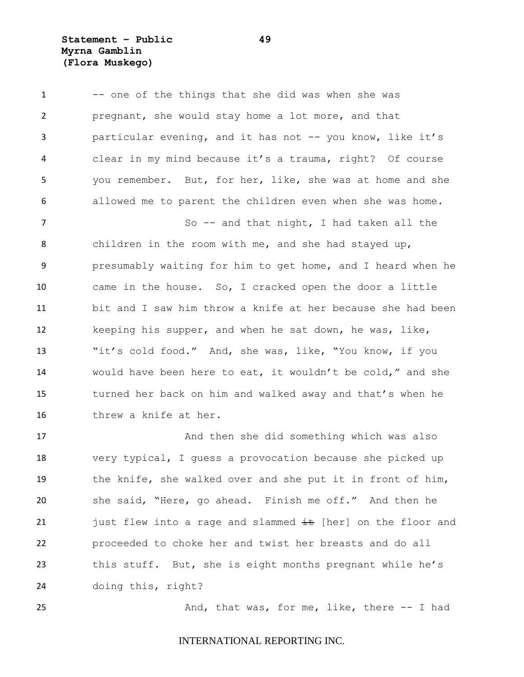**Statement – Public 49 Myrna Gamblin (Flora Muskego)**

1 -- one of the things that she did was when she was pregnant, she would stay home a lot more, and that particular evening, and it has not -- you know, like it's clear in my mind because it's a trauma, right? Of course you remember. But, for her, like, she was at home and she allowed me to parent the children even when she was home. 7 So -- and that night, I had taken all the children in the room with me, and she had stayed up, presumably waiting for him to get home, and I heard when he came in the house. So, I cracked open the door a little bit and I saw him throw a knife at her because she had been keeping his supper, and when he sat down, he was, like, "it's cold food." And, she was, like, "You know, if you would have been here to eat, it wouldn't be cold," and she turned her back on him and walked away and that's when he threw a knife at her.

17 And then she did something which was also very typical, I guess a provocation because she picked up the knife, she walked over and she put it in front of him, she said, "Here, go ahead. Finish me off." And then he 21 just flew into a rage and slammed  $\pm\epsilon$  [her] on the floor and proceeded to choke her and twist her breasts and do all this stuff. But, she is eight months pregnant while he's doing this, right?

25 And, that was, for me, like, there -- I had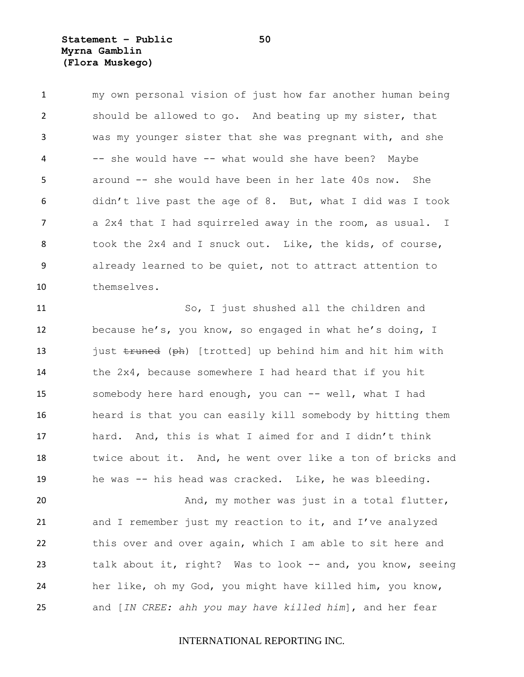**Statement – Public 50 Myrna Gamblin (Flora Muskego)**

 my own personal vision of just how far another human being should be allowed to go. And beating up my sister, that was my younger sister that she was pregnant with, and she -- she would have -- what would she have been? Maybe around -- she would have been in her late 40s now. She didn't live past the age of 8. But, what I did was I took a 2x4 that I had squirreled away in the room, as usual. I 8 took the 2x4 and I snuck out. Like, the kids, of course, already learned to be quiet, not to attract attention to themselves.

 So, I just shushed all the children and because he's, you know, so engaged in what he's doing, I 13 just truned (ph) [trotted] up behind him and hit him with the 2x4, because somewhere I had heard that if you hit 15 somebody here hard enough, you can -- well, what I had heard is that you can easily kill somebody by hitting them hard. And, this is what I aimed for and I didn't think twice about it. And, he went over like a ton of bricks and he was -- his head was cracked. Like, he was bleeding. 20 And, my mother was just in a total flutter,

 and I remember just my reaction to it, and I've analyzed this over and over again, which I am able to sit here and talk about it, right? Was to look -- and, you know, seeing her like, oh my God, you might have killed him, you know, and [*IN CREE: ahh you may have killed him*], and her fear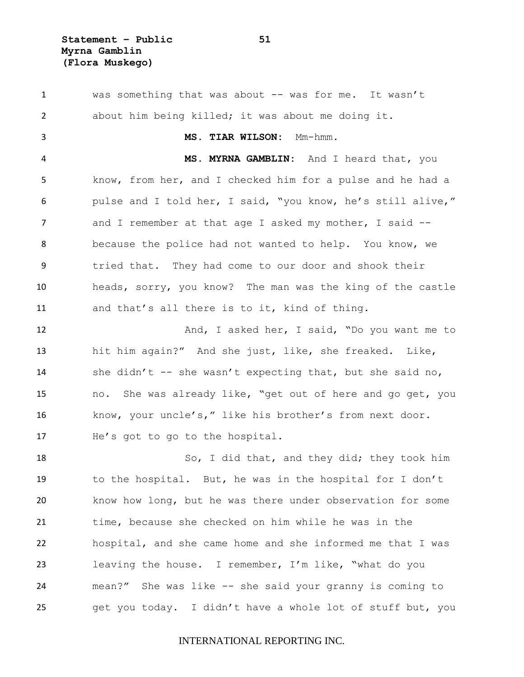**Statement – Public 51 Myrna Gamblin (Flora Muskego)**

 was something that was about -- was for me. It wasn't about him being killed; it was about me doing it. **MS. TIAR WILSON:** Mm-hmm. **MS. MYRNA GAMBLIN:** And I heard that, you know, from her, and I checked him for a pulse and he had a pulse and I told her, I said, "you know, he's still alive," 7 and I remember at that age I asked my mother, I said -- because the police had not wanted to help. You know, we tried that. They had come to our door and shook their heads, sorry, you know? The man was the king of the castle and that's all there is to it, kind of thing. 12 And, I asked her, I said, "Do you want me to hit him again?" And she just, like, she freaked. Like, she didn't -- she wasn't expecting that, but she said no, no. She was already like, "get out of here and go get, you know, your uncle's," like his brother's from next door. He's got to go to the hospital. So, I did that, and they did; they took him to the hospital. But, he was in the hospital for I don't know how long, but he was there under observation for some time, because she checked on him while he was in the hospital, and she came home and she informed me that I was leaving the house. I remember, I'm like, "what do you mean?" She was like -- she said your granny is coming to get you today. I didn't have a whole lot of stuff but, you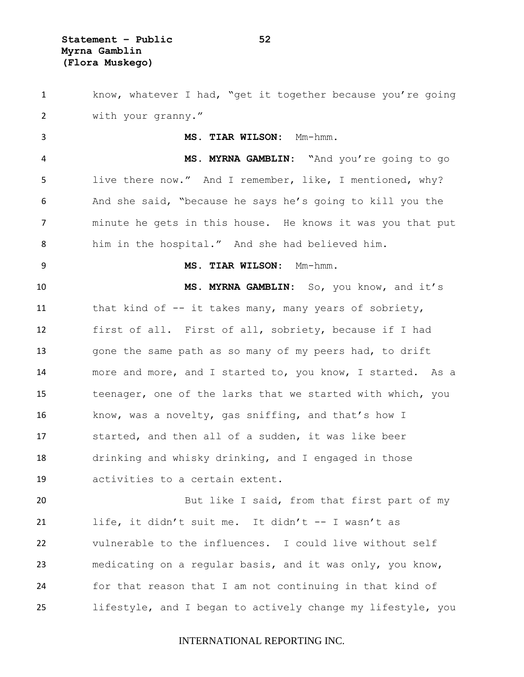**Statement – Public 52 Myrna Gamblin (Flora Muskego)**

 know, whatever I had, "get it together because you're going with your granny."

 **MS. TIAR WILSON:** Mm-hmm. **MS. MYRNA GAMBLIN: "**And you're going to go live there now." And I remember, like, I mentioned, why? And she said, "because he says he's going to kill you the minute he gets in this house. He knows it was you that put him in the hospital." And she had believed him.

 **MS. TIAR WILSON:** Mm-hmm. **MS. MYRNA GAMBLIN:** So, you know, and it's

11 that kind of -- it takes many, many years of sobriety, first of all. First of all, sobriety, because if I had 13 gone the same path as so many of my peers had, to drift more and more, and I started to, you know, I started. As a teenager, one of the larks that we started with which, you know, was a novelty, gas sniffing, and that's how I started, and then all of a sudden, it was like beer drinking and whisky drinking, and I engaged in those activities to a certain extent.

 But like I said, from that first part of my life, it didn't suit me. It didn't -- I wasn't as vulnerable to the influences. I could live without self medicating on a regular basis, and it was only, you know, for that reason that I am not continuing in that kind of lifestyle, and I began to actively change my lifestyle, you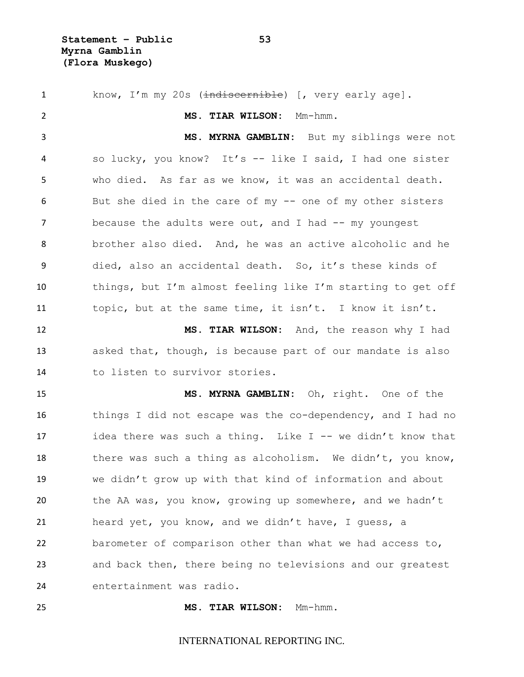1 know, I'm my 20s (indiscernible) [, very early age]. **MS. TIAR WILSON:** Mm-hmm. **MS. MYRNA GAMBLIN:** But my siblings were not so lucky, you know? It's -- like I said, I had one sister who died. As far as we know, it was an accidental death. But she died in the care of my -- one of my other sisters 7 because the adults were out, and I had -- my youngest brother also died. And, he was an active alcoholic and he died, also an accidental death. So, it's these kinds of things, but I'm almost feeling like I'm starting to get off topic, but at the same time, it isn't. I know it isn't. **MS. TIAR WILSON:** And, the reason why I had asked that, though, is because part of our mandate is also to listen to survivor stories. **MS. MYRNA GAMBLIN:** Oh, right. One of the things I did not escape was the co-dependency, and I had no 17 idea there was such a thing. Like I -- we didn't know that 18 there was such a thing as alcoholism. We didn't, you know, we didn't grow up with that kind of information and about the AA was, you know, growing up somewhere, and we hadn't heard yet, you know, and we didn't have, I guess, a barometer of comparison other than what we had access to, and back then, there being no televisions and our greatest entertainment was radio.

**MS. TIAR WILSON:** Mm-hmm.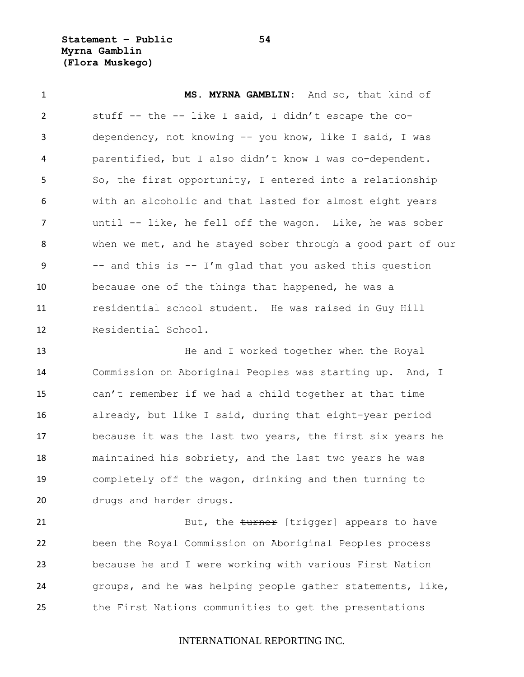**Statement – Public 54 Myrna Gamblin (Flora Muskego)**

 **MS. MYRNA GAMBLIN:** And so, that kind of stuff -- the -- like I said, I didn't escape the co- dependency, not knowing -- you know, like I said, I was parentified, but I also didn't know I was co-dependent. So, the first opportunity, I entered into a relationship with an alcoholic and that lasted for almost eight years until -- like, he fell off the wagon. Like, he was sober when we met, and he stayed sober through a good part of our  $-$  and this is  $-$  I'm glad that you asked this question because one of the things that happened, he was a residential school student. He was raised in Guy Hill Residential School.

**He and I worked together when the Royal**  Commission on Aboriginal Peoples was starting up. And, I can't remember if we had a child together at that time already, but like I said, during that eight-year period because it was the last two years, the first six years he maintained his sobriety, and the last two years he was completely off the wagon, drinking and then turning to drugs and harder drugs.

21 But, the turner [trigger] appears to have been the Royal Commission on Aboriginal Peoples process because he and I were working with various First Nation groups, and he was helping people gather statements, like, the First Nations communities to get the presentations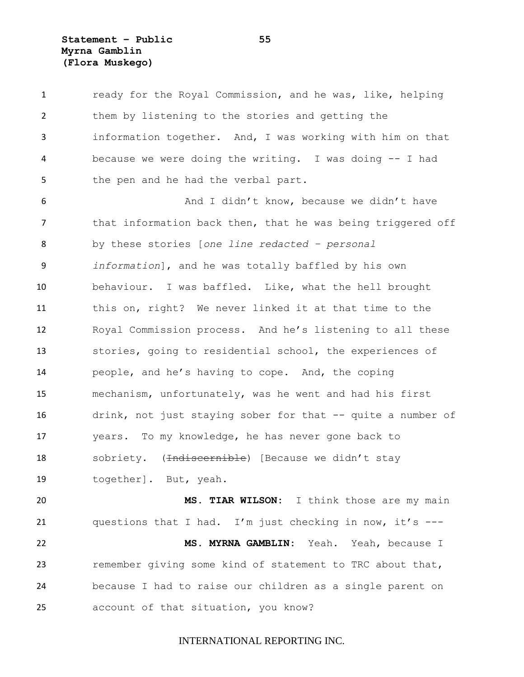**Statement – Public 55 Myrna Gamblin (Flora Muskego)**

1 ready for the Royal Commission, and he was, like, helping them by listening to the stories and getting the information together. And, I was working with him on that because we were doing the writing. I was doing -- I had 5 the pen and he had the verbal part. And I didn't know, because we didn't have 7 that information back then, that he was being triggered off by these stories [*one line redacted – personal information*], and he was totally baffled by his own behaviour. I was baffled. Like, what the hell brought this on, right? We never linked it at that time to the Royal Commission process. And he's listening to all these stories, going to residential school, the experiences of people, and he's having to cope. And, the coping mechanism, unfortunately, was he went and had his first drink, not just staying sober for that -- quite a number of years. To my knowledge, he has never gone back to 18 sobriety. (<del>Indiscernible</del>) [Because we didn't stay together]. But, yeah. **MS. TIAR WILSON:** I think those are my main questions that I had. I'm just checking in now, it's --- **MS. MYRNA GAMBLIN:** Yeah. Yeah, because I remember giving some kind of statement to TRC about that, because I had to raise our children as a single parent on account of that situation, you know?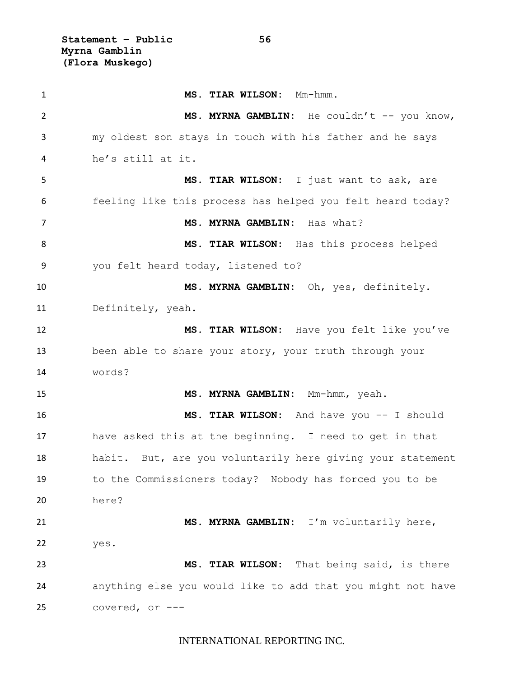**Statement – Public 56 Myrna Gamblin (Flora Muskego)**

 **MS. TIAR WILSON:** Mm-hmm. 2 MS. MYRNA GAMBLIN: He couldn't -- you know, my oldest son stays in touch with his father and he says he's still at it. **MS. TIAR WILSON:** I just want to ask, are feeling like this process has helped you felt heard today? **MS. MYRNA GAMBLIN:** Has what? **MS. TIAR WILSON:** Has this process helped you felt heard today, listened to? **MS. MYRNA GAMBLIN:** Oh, yes, definitely. Definitely, yeah. **MS. TIAR WILSON:** Have you felt like you've been able to share your story, your truth through your words? **MS. MYRNA GAMBLIN:** Mm-hmm, yeah. **MS. TIAR WILSON:** And have you -- I should have asked this at the beginning. I need to get in that habit. But, are you voluntarily here giving your statement to the Commissioners today? Nobody has forced you to be here? **MS. MYRNA GAMBLIN:** I'm voluntarily here, yes. **MS. TIAR WILSON:** That being said, is there anything else you would like to add that you might not have covered, or ---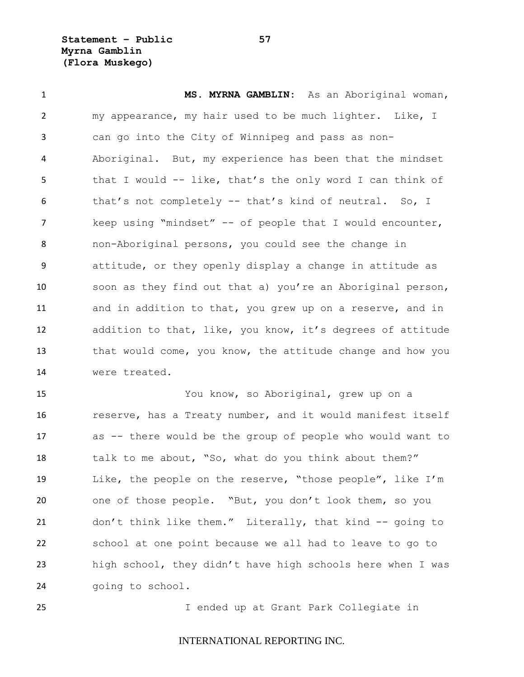**Statement – Public 57 Myrna Gamblin (Flora Muskego)**

 **MS. MYRNA GAMBLIN:** As an Aboriginal woman, my appearance, my hair used to be much lighter. Like, I can go into the City of Winnipeg and pass as non- Aboriginal. But, my experience has been that the mindset that I would -- like, that's the only word I can think of that's not completely -- that's kind of neutral. So, I keep using "mindset" -- of people that I would encounter, non-Aboriginal persons, you could see the change in attitude, or they openly display a change in attitude as soon as they find out that a) you're an Aboriginal person, and in addition to that, you grew up on a reserve, and in addition to that, like, you know, it's degrees of attitude 13 that would come, you know, the attitude change and how you were treated.

 You know, so Aboriginal, grew up on a **reserve, has a Treaty number, and it would manifest itself**  as -- there would be the group of people who would want to talk to me about, "So, what do you think about them?" Like, the people on the reserve, "those people", like I'm one of those people. "But, you don't look them, so you don't think like them." Literally, that kind -- going to school at one point because we all had to leave to go to high school, they didn't have high schools here when I was going to school.

I ended up at Grant Park Collegiate in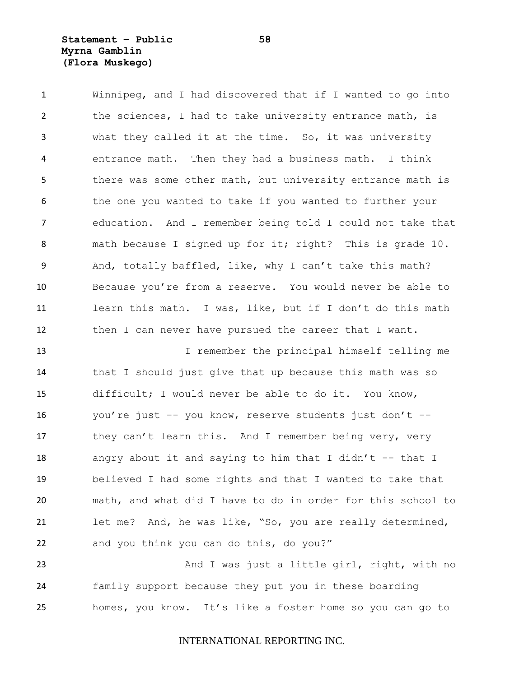# **Statement – Public 58 Myrna Gamblin (Flora Muskego)**

 Winnipeg, and I had discovered that if I wanted to go into the sciences, I had to take university entrance math, is what they called it at the time. So, it was university entrance math. Then they had a business math. I think there was some other math, but university entrance math is the one you wanted to take if you wanted to further your education. And I remember being told I could not take that 8 math because I signed up for it; right? This is grade 10. And, totally baffled, like, why I can't take this math? Because you're from a reserve. You would never be able to learn this math. I was, like, but if I don't do this math 12 then I can never have pursued the career that I want.

 I remember the principal himself telling me that I should just give that up because this math was so difficult; I would never be able to do it. You know, you're just -- you know, reserve students just don't -- 17 they can't learn this. And I remember being very, very 18 angry about it and saying to him that I didn't  $-$ -that I believed I had some rights and that I wanted to take that math, and what did I have to do in order for this school to let me? And, he was like, "So, you are really determined, and you think you can do this, do you?"

23 And I was just a little girl, right, with no family support because they put you in these boarding homes, you know. It's like a foster home so you can go to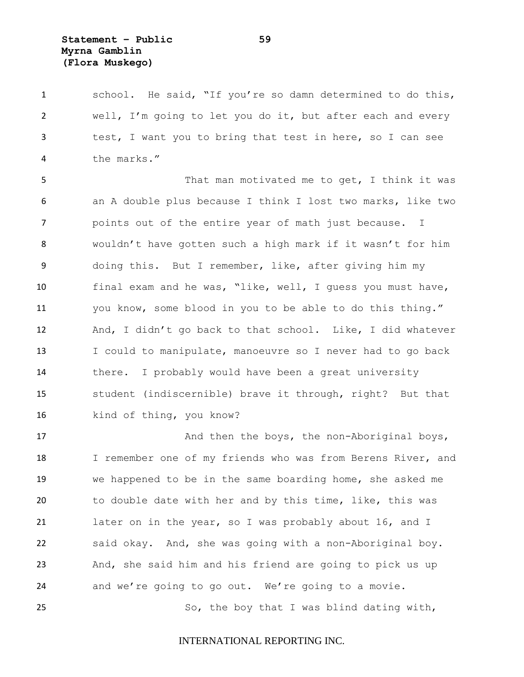**Statement – Public 59 Myrna Gamblin (Flora Muskego)**

 school. He said, "If you're so damn determined to do this, well, I'm going to let you do it, but after each and every test, I want you to bring that test in here, so I can see the marks."

 That man motivated me to get, I think it was an A double plus because I think I lost two marks, like two points out of the entire year of math just because. I wouldn't have gotten such a high mark if it wasn't for him doing this. But I remember, like, after giving him my final exam and he was, "like, well, I guess you must have, you know, some blood in you to be able to do this thing." And, I didn't go back to that school. Like, I did whatever I could to manipulate, manoeuvre so I never had to go back there. I probably would have been a great university student (indiscernible) brave it through, right? But that 16 kind of thing, you know?

17 And then the boys, the non-Aboriginal boys, 18 I remember one of my friends who was from Berens River, and we happened to be in the same boarding home, she asked me to double date with her and by this time, like, this was 21 later on in the year, so I was probably about 16, and I said okay. And, she was going with a non-Aboriginal boy. And, she said him and his friend are going to pick us up and we're going to go out. We're going to a movie. 25 So, the boy that I was blind dating with,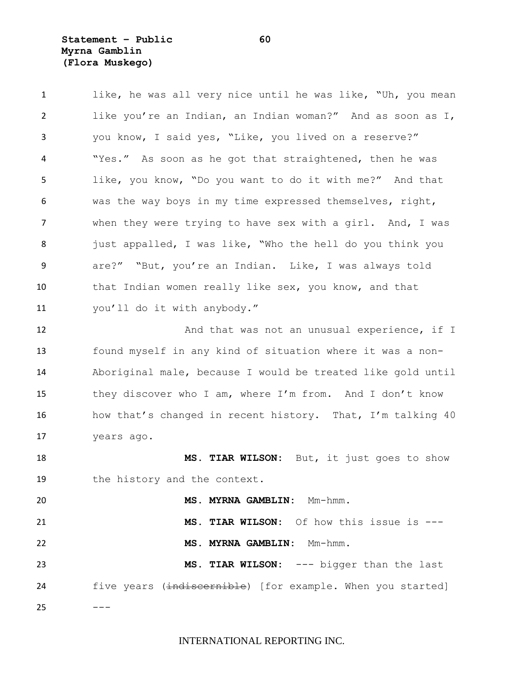**Statement – Public 60 Myrna Gamblin (Flora Muskego)**

1 like, he was all very nice until he was like, "Uh, you mean like you're an Indian, an Indian woman?" And as soon as I, you know, I said yes, "Like, you lived on a reserve?" "Yes." As soon as he got that straightened, then he was like, you know, "Do you want to do it with me?" And that was the way boys in my time expressed themselves, right, when they were trying to have sex with a girl. And, I was 8 just appalled, I was like, "Who the hell do you think you are?" "But, you're an Indian. Like, I was always told 10 that Indian women really like sex, you know, and that you'll do it with anybody." 12 And that was not an unusual experience, if I

 found myself in any kind of situation where it was a non- Aboriginal male, because I would be treated like gold until they discover who I am, where I'm from. And I don't know how that's changed in recent history. That, I'm talking 40 years ago.

 **MS. TIAR WILSON:** But, it just goes to show the history and the context.

 **MS. MYRNA GAMBLIN:** Mm-hmm. **MS. TIAR WILSON:** Of how this issue is --- **MS. MYRNA GAMBLIN:** Mm-hmm. **MS. TIAR WILSON:** --- bigger than the last 24 five years (indiscernible) [for example. When you started]

 $---$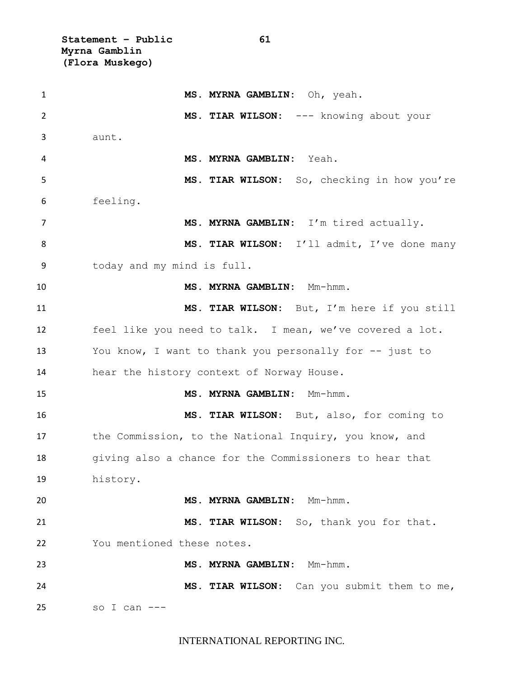**Statement – Public 61 Myrna Gamblin (Flora Muskego)**

 **MS. MYRNA GAMBLIN:** Oh, yeah. **MS. TIAR WILSON:** --- knowing about your aunt. **MS. MYRNA GAMBLIN:** Yeah. **MS. TIAR WILSON:** So, checking in how you're feeling. **MS. MYRNA GAMBLIN:** I'm tired actually. 8 MS. TIAR WILSON: I'll admit, I've done many today and my mind is full. **MS. MYRNA GAMBLIN:** Mm-hmm. **MS. TIAR WILSON:** But, I'm here if you still feel like you need to talk. I mean, we've covered a lot. You know, I want to thank you personally for -- just to hear the history context of Norway House. **MS. MYRNA GAMBLIN:** Mm-hmm. **MS. TIAR WILSON:** But, also, for coming to 17 the Commission, to the National Inquiry, you know, and giving also a chance for the Commissioners to hear that history. **MS. MYRNA GAMBLIN:** Mm-hmm. **MS. TIAR WILSON:** So, thank you for that. You mentioned these notes. **MS. MYRNA GAMBLIN:** Mm-hmm. **MS. TIAR WILSON:** Can you submit them to me, so I can ---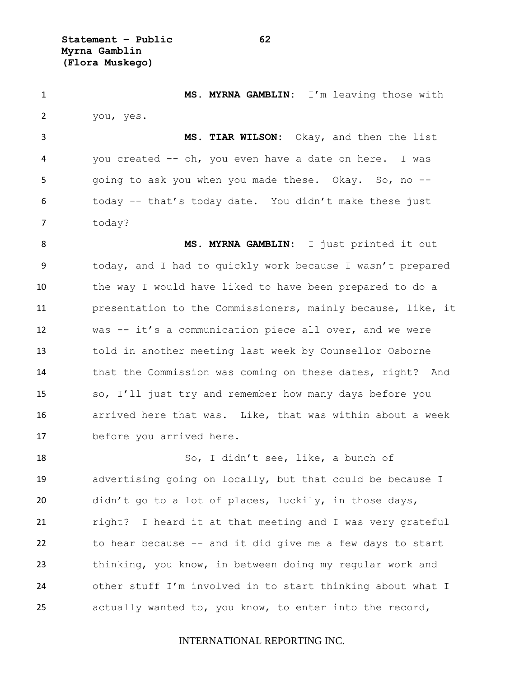**Statement – Public 62 Myrna Gamblin (Flora Muskego)**

 **MS. MYRNA GAMBLIN:** I'm leaving those with you, yes.

 **MS. TIAR WILSON:** Okay, and then the list you created -- oh, you even have a date on here. I was 5 going to ask you when you made these. Okay. So, no -- today -- that's today date. You didn't make these just 7 today?

 **MS. MYRNA GAMBLIN:** I just printed it out today, and I had to quickly work because I wasn't prepared the way I would have liked to have been prepared to do a presentation to the Commissioners, mainly because, like, it was -- it's a communication piece all over, and we were told in another meeting last week by Counsellor Osborne that the Commission was coming on these dates, right? And so, I'll just try and remember how many days before you arrived here that was. Like, that was within about a week before you arrived here.

 So, I didn't see, like, a bunch of advertising going on locally, but that could be because I didn't go to a lot of places, luckily, in those days, 21 right? I heard it at that meeting and I was very grateful to hear because -- and it did give me a few days to start thinking, you know, in between doing my regular work and other stuff I'm involved in to start thinking about what I actually wanted to, you know, to enter into the record,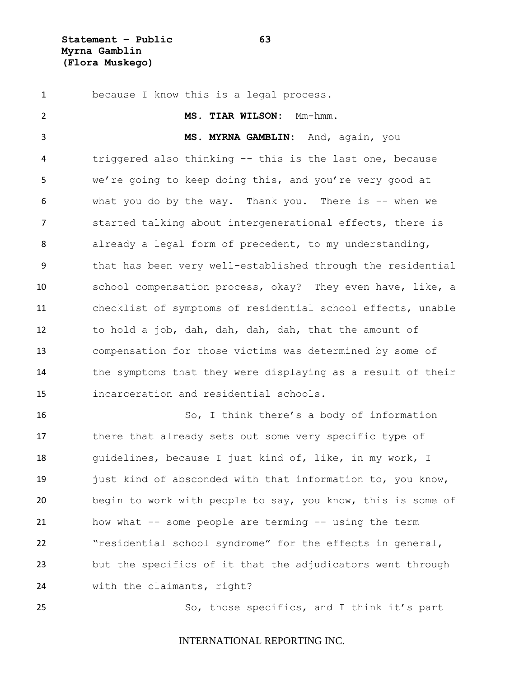**Statement – Public 63 Myrna Gamblin (Flora Muskego)**

 because I know this is a legal process. **MS. TIAR WILSON:** Mm-hmm. **MS. MYRNA GAMBLIN:** And, again, you triggered also thinking -- this is the last one, because we're going to keep doing this, and you're very good at what you do by the way. Thank you. There is -- when we started talking about intergenerational effects, there is already a legal form of precedent, to my understanding, that has been very well-established through the residential school compensation process, okay? They even have, like, a checklist of symptoms of residential school effects, unable to hold a job, dah, dah, dah, dah, that the amount of compensation for those victims was determined by some of the symptoms that they were displaying as a result of their incarceration and residential schools. So, I think there's a body of information there that already sets out some very specific type of guidelines, because I just kind of, like, in my work, I 19 just kind of absconded with that information to, you know, begin to work with people to say, you know, this is some of how what -- some people are terming -- using the term

 but the specifics of it that the adjudicators went through with the claimants, right?

"residential school syndrome" for the effects in general,

So, those specifics, and I think it's part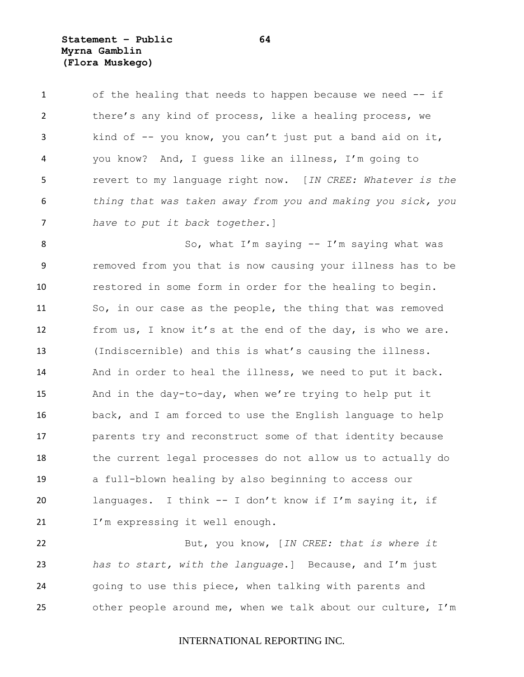**Statement – Public 64 Myrna Gamblin (Flora Muskego)**

 of the healing that needs to happen because we need -- if there's any kind of process, like a healing process, we kind of -- you know, you can't just put a band aid on it, you know? And, I guess like an illness, I'm going to revert to my language right now. [*IN CREE: Whatever is the thing that was taken away from you and making you sick, you have to put it back together*.]

8 So, what I'm saying -- I'm saying what was removed from you that is now causing your illness has to be restored in some form in order for the healing to begin. So, in our case as the people, the thing that was removed from us, I know it's at the end of the day, is who we are. (Indiscernible) and this is what's causing the illness. And in order to heal the illness, we need to put it back. And in the day-to-day, when we're trying to help put it back, and I am forced to use the English language to help parents try and reconstruct some of that identity because the current legal processes do not allow us to actually do a full-blown healing by also beginning to access our languages. I think -- I don't know if I'm saying it, if 21 I'm expressing it well enough.

 But, you know, [*IN CREE: that is where it has to start, with the language*.] Because, and I'm just going to use this piece, when talking with parents and other people around me, when we talk about our culture, I'm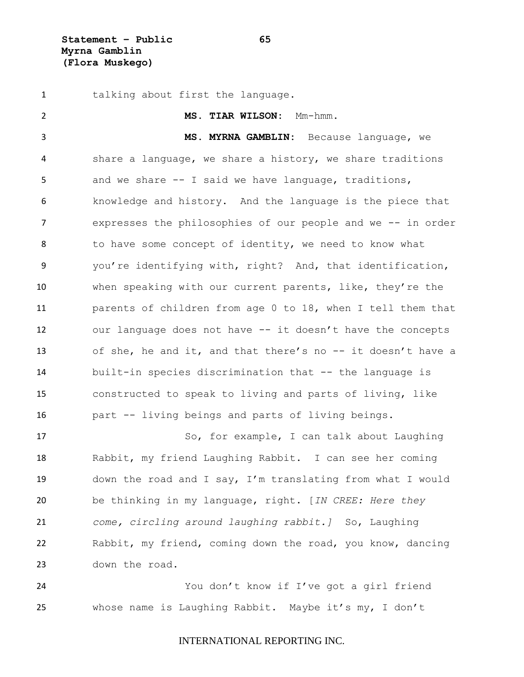**Statement – Public 65 Myrna Gamblin (Flora Muskego)**

 talking about first the language. **MS. TIAR WILSON:** Mm-hmm. **MS. MYRNA GAMBLIN:** Because language, we share a language, we share a history, we share traditions and we share -- I said we have language, traditions, knowledge and history. And the language is the piece that expresses the philosophies of our people and we -- in order 8 to have some concept of identity, we need to know what you're identifying with, right? And, that identification, when speaking with our current parents, like, they're the parents of children from age 0 to 18, when I tell them that our language does not have -- it doesn't have the concepts of she, he and it, and that there's no -- it doesn't have a built-in species discrimination that -- the language is constructed to speak to living and parts of living, like part -- living beings and parts of living beings. 17 So, for example, I can talk about Laughing Rabbit, my friend Laughing Rabbit. I can see her coming down the road and I say, I'm translating from what I would be thinking in my language, right. [*IN CREE: Here they come, circling around laughing rabbit.]* So, Laughing Rabbit, my friend, coming down the road, you know, dancing down the road. You don't know if I've got a girl friend

whose name is Laughing Rabbit. Maybe it's my, I don't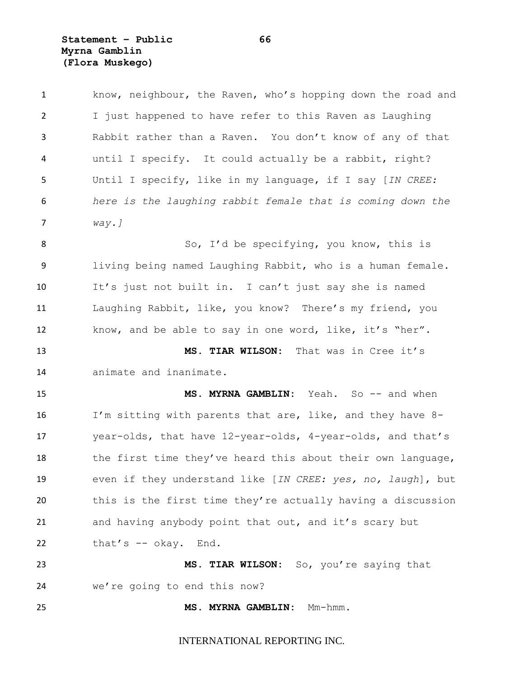**Statement – Public 66 Myrna Gamblin (Flora Muskego)**

| $\mathbf{1}$   | know, neighbour, the Raven, who's hopping down the road and |
|----------------|-------------------------------------------------------------|
| $\overline{2}$ | I just happened to have refer to this Raven as Laughing     |
| 3              | Rabbit rather than a Raven. You don't know of any of that   |
| 4              | until I specify. It could actually be a rabbit, right?      |
| 5              | Until I specify, like in my language, if I say [IN CREE:    |
| 6              | here is the laughing rabbit female that is coming down the  |
| 7              | $way.$ ]                                                    |
| 8              | So, I'd be specifying, you know, this is                    |
| 9              | living being named Laughing Rabbit, who is a human female.  |
| 10             | It's just not built in. I can't just say she is named       |
| 11             | Laughing Rabbit, like, you know? There's my friend, you     |
| 12             | know, and be able to say in one word, like, it's "her".     |
| 13             | MS. TIAR WILSON: That was in Cree it's                      |
| 14             | animate and inanimate.                                      |
| 15             | MS. MYRNA GAMBLIN: Yeah. So -- and when                     |
| 16             | I'm sitting with parents that are, like, and they have 8-   |
| 17             | year-olds, that have 12-year-olds, 4-year-olds, and that's  |
| 18             | the first time they've heard this about their own language, |
| 19             | even if they understand like [IN CREE: yes, no, laugh], but |
| 20             | this is the first time they're actually having a discussion |
| 21             | and having anybody point that out, and it's scary but       |
| 22             | that's -- okay. End.                                        |
|                |                                                             |
| 23             | MS. TIAR WILSON: So, you're saying that                     |
| 24             | we're going to end this now?                                |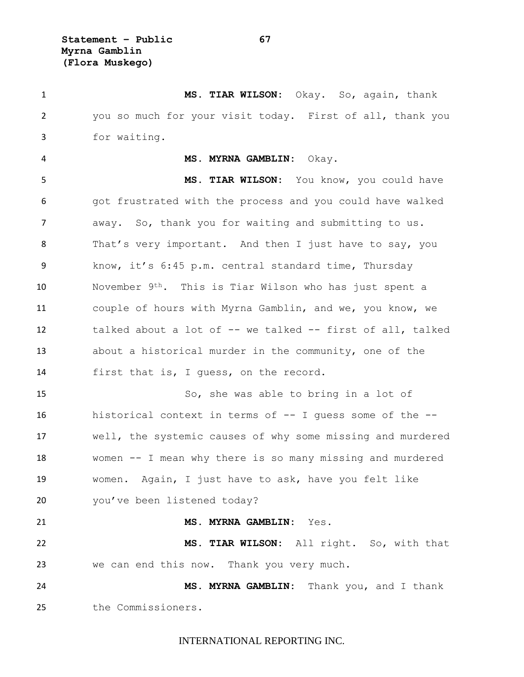**Statement – Public 67 Myrna Gamblin (Flora Muskego)**

 **MS. TIAR WILSON:** Okay. So, again, thank you so much for your visit today. First of all, thank you for waiting.

#### **MS. MYRNA GAMBLIN:** Okay.

 **MS. TIAR WILSON:** You know, you could have 6 6 got frustrated with the process and you could have walked away. So, thank you for waiting and submitting to us. That's very important. And then I just have to say, you know, it's 6:45 p.m. central standard time, Thursday November 9th. This is Tiar Wilson who has just spent a couple of hours with Myrna Gamblin, and we, you know, we talked about a lot of -- we talked -- first of all, talked about a historical murder in the community, one of the first that is, I guess, on the record.

 So, she was able to bring in a lot of historical context in terms of -- I guess some of the -- well, the systemic causes of why some missing and murdered women -- I mean why there is so many missing and murdered women. Again, I just have to ask, have you felt like 20 you've been listened today?

**MS. MYRNA GAMBLIN:** Yes.

 **MS. TIAR WILSON:** All right. So, with that we can end this now. Thank you very much.

 **MS. MYRNA GAMBLIN:** Thank you, and I thank the Commissioners.